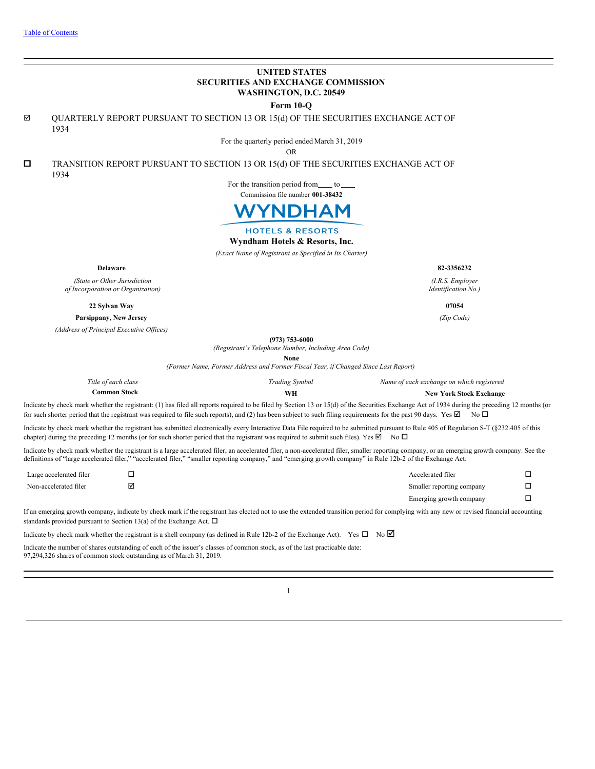# **WASHINGTON, D.C. 20549 Form 10-Q**  $\boxtimes$  QUARTERLY REPORT PURSUANT TO SECTION 13 OR 15(d) OF THE SECURITIES EXCHANGE ACT OF 1934 For the quarterly period ended March 31, 2019 OR  $\square$  TRANSITION REPORT PURSUANT TO SECTION 13 OR 15(d) OF THE SECURITIES EXCHANGE ACT OF 1934 For the transition period from  $\_\_$  to Commission file number **001-38432** NDHAM **HOTELS & RESORTS Wyndham Hotels & Resorts, Inc.** *(Exact Name of Registrant as Specified in Its Charter)* **Delaware 82-3356232** *(I.R.S. Employer (State or Other Jurisdiction of Incorporation or Organization) Identification No.)* **22 Sylvan Way 07054 Parsippany, New Jersey** *(Zip Code) (Address of Principal Executive Of ices)* **(973) 753-6000** *(Registrant's Telephone Number, Including Area Code)* **None** *(Former Name, Former Address and Former Fiscal Year, if Changed Since Last Report)* for such shorter period that the registrant was required to file such reports), and (2) has been subject to such filing requirements for the past 90 days. Yes  $\boxtimes$  No  $\Box$ Indicate by check mark whether the registrant has submitted electronically every Interactive Data File required to be submitted pursuant to Rule 405 of Regulation S-T (§232.405 of this Indicate by check mark whether the registrant is a large accelerated filer, an accelerated filer, a non-accelerated filer, smaller reporting company, or an emerging growth company. See the

**UNITED STATES SECURITIES AND EXCHANGE COMMISSION**

| Large accelerated filer |   | Accelerated filer         |  |
|-------------------------|---|---------------------------|--|
| Non-accelerated filer   | ⊽ | Smaller reporting company |  |
|                         |   | Emerging growth company   |  |

If an emerging growth company, indicate by check mark if the registrant has elected not to use the extended transition period for complying with any new or revised financial accounting

Indicate by check mark whether the registrant is a shell company (as defined in Rule 12b-2 of the Exchange Act). Yes  $\Box$  No  $\Box$ 

1

| Title of each class | <b>Trading Symbol</b> | Name of each exchange on which registered |
|---------------------|-----------------------|-------------------------------------------|
| <b>Common Stock</b> | WН                    | <b>New York Stock Exchange</b>            |
|                     |                       |                                           |

Indicate by check mark whether the registrant: (1) has filed all reports required to be filed by Section 13 or 15(d) of the Securities Exchange Act of 1934 during the preceding 12 months (or

chapter) during the preceding 12 months (or for such shorter period that the registrant was required to submit such files). Yes  $\boxtimes$  No  $\Box$ 

definitions of "large accelerated filer," "accelerated filer," "smaller reporting company," and "emerging growth company" in Rule 12b-2 of the Exchange Act.

| Non-accelerated filer |                                                                                                                                                                               | Smaller reporting company |
|-----------------------|-------------------------------------------------------------------------------------------------------------------------------------------------------------------------------|---------------------------|
|                       |                                                                                                                                                                               | Emerging growth company   |
|                       | an emerging growth company, indicate by check mark if the registrant has elected not to use the extended transition period for complying with any new or revised financial ac |                           |

standards provided pursuant to Section 13(a) of the Exchange Act.  $\Box$ 

Indicate the number of shares outstanding of each of the issuer's classes of common stock, as of the last practicable date: 97,294,326 shares of common stock outstanding as of March 31, 2019.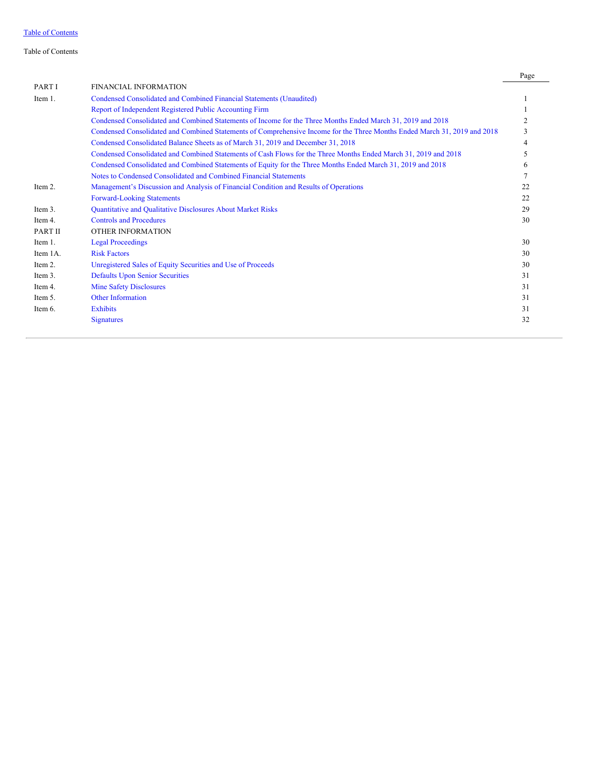<span id="page-1-0"></span>Table of Contents

|                |                                                                                                                           | Page |
|----------------|---------------------------------------------------------------------------------------------------------------------------|------|
| <b>PARTI</b>   | FINANCIAL INFORMATION                                                                                                     |      |
| Item 1.        | Condensed Consolidated and Combined Financial Statements (Unaudited)                                                      |      |
|                | Report of Independent Registered Public Accounting Firm                                                                   |      |
|                | Condensed Consolidated and Combined Statements of Income for the Three Months Ended March 31, 2019 and 2018               | 2    |
|                | Condensed Consolidated and Combined Statements of Comprehensive Income for the Three Months Ended March 31, 2019 and 2018 | 3    |
|                | Condensed Consolidated Balance Sheets as of March 31, 2019 and December 31, 2018                                          | 4    |
|                | Condensed Consolidated and Combined Statements of Cash Flows for the Three Months Ended March 31, 2019 and 2018           | 5    |
|                | Condensed Consolidated and Combined Statements of Equity for the Three Months Ended March 31, 2019 and 2018               | 6    |
|                | Notes to Condensed Consolidated and Combined Financial Statements                                                         | 7    |
| Item 2.        | Management's Discussion and Analysis of Financial Condition and Results of Operations                                     | 22   |
|                | <b>Forward-Looking Statements</b>                                                                                         | 22   |
| Item 3.        | Quantitative and Qualitative Disclosures About Market Risks                                                               | 29   |
| Item 4.        | <b>Controls and Procedures</b>                                                                                            | 30   |
| <b>PART II</b> | OTHER INFORMATION                                                                                                         |      |
| Item 1.        | <b>Legal Proceedings</b>                                                                                                  | 30   |
| Item 1A.       | <b>Risk Factors</b>                                                                                                       | 30   |
| Item 2.        | Unregistered Sales of Equity Securities and Use of Proceeds                                                               | 30   |
| Item 3.        | <b>Defaults Upon Senior Securities</b>                                                                                    | 31   |
| Item 4.        | <b>Mine Safety Disclosures</b>                                                                                            | 31   |
| Item 5.        | <b>Other Information</b>                                                                                                  | 31   |
| Item 6.        | <b>Exhibits</b>                                                                                                           | 31   |
|                | <b>Signatures</b>                                                                                                         | 32   |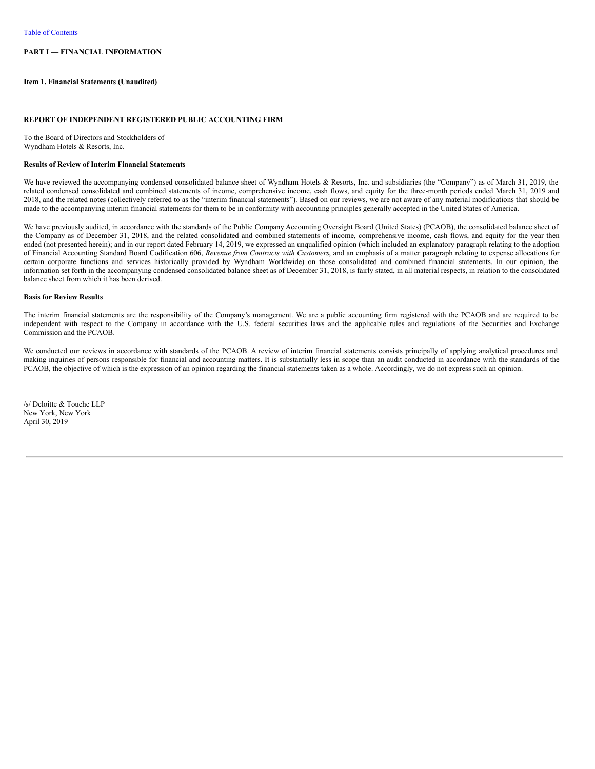# **PART I — FINANCIAL INFORMATION**

### <span id="page-2-0"></span>**Item 1. Financial Statements (Unaudited)**

### <span id="page-2-1"></span>**REPORT OF INDEPENDENT REGISTERED PUBLIC ACCOUNTING FIRM**

To the Board of Directors and Stockholders of Wyndham Hotels & Resorts, Inc.

# **Results of Review of Interim Financial Statements**

We have reviewed the accompanying condensed consolidated balance sheet of Wyndham Hotels & Resorts, Inc. and subsidiaries (the "Company") as of March 31, 2019, the related condensed consolidated and combined statements of income, comprehensive income, cash flows, and equity for the three-month periods ended March 31, 2019 and 2018, and the related notes (collectively referred to as the "interim financial statements"). Based on our reviews, we are not aware of any material modifications that should be made to the accompanying interim financial statements for them to be in conformity with accounting principles generally accepted in the United States of America.

We have previously audited, in accordance with the standards of the Public Company Accounting Oversight Board (United States) (PCAOB), the consolidated balance sheet of the Company as of December 31, 2018, and the related consolidated and combined statements of income, comprehensive income, cash flows, and equity for the year then ended (not presented herein); and in our report dated February 14, 2019, we expressed an unqualified opinion (which included an explanatory paragraph relating to the adoption of Financial Accounting Standard Board Codification 606, *Revenue from Contracts with Customers*, and an emphasis of a matter paragraph relating to expense allocations for certain corporate functions and services historically provided by Wyndham Worldwide) on those consolidated and combined financial statements. In our opinion, the information set forth in the accompanying condensed consolidated balance sheet as of December 31, 2018, is fairly stated, in all material respects, in relation to the consolidated balance sheet from which it has been derived.

### **Basis for Review Results**

The interim financial statements are the responsibility of the Company's management. We are a public accounting firm registered with the PCAOB and are required to be independent with respect to the Company in accordance with the U.S. federal securities laws and the applicable rules and regulations of the Securities and Exchange Commission and the PCAOB.

We conducted our reviews in accordance with standards of the PCAOB. A review of interim financial statements consists principally of applying analytical procedures and making inquiries of persons responsible for financial and accounting matters. It is substantially less in scope than an audit conducted in accordance with the standards of the PCAOB, the objective of which is the expression of an opinion regarding the financial statements taken as a whole. Accordingly, we do not express such an opinion.

/s/ Deloitte & Touche LLP New York, New York April 30, 2019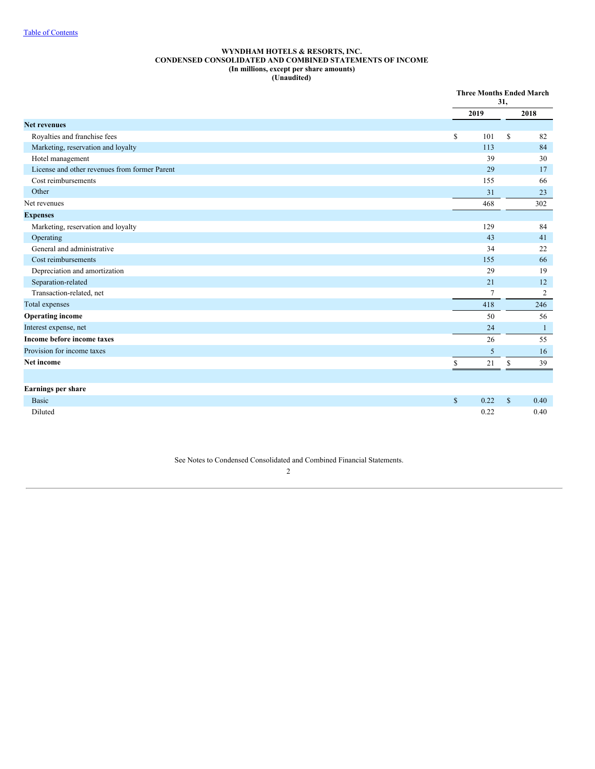### **WYNDHAM HOTELS & RESORTS, INC. CONDENSED CONSOLIDATED AND COMBINED STATEMENTS OF INCOME (In millions, except per share amounts) (Unaudited)**

<span id="page-3-0"></span>

|                                               |              |      | 31, | <b>Three Months Ended March</b> |
|-----------------------------------------------|--------------|------|-----|---------------------------------|
|                                               | 2019         |      |     | 2018                            |
| <b>Net revenues</b>                           |              |      |     |                                 |
| Royalties and franchise fees                  | \$           | 101  | S   | 82                              |
| Marketing, reservation and loyalty            |              | 113  |     | 84                              |
| Hotel management                              |              | 39   |     | 30                              |
| License and other revenues from former Parent |              | 29   |     | 17                              |
| Cost reimbursements                           |              | 155  |     | 66                              |
| Other                                         |              | 31   |     | 23                              |
| Net revenues                                  |              | 468  |     | 302                             |
| <b>Expenses</b>                               |              |      |     |                                 |
| Marketing, reservation and loyalty            |              | 129  |     | 84                              |
| Operating                                     |              | 43   |     | 41                              |
| General and administrative                    |              | 34   |     | 22                              |
| Cost reimbursements                           |              | 155  |     | 66                              |
| Depreciation and amortization                 |              | 29   |     | 19                              |
| Separation-related                            |              | 21   |     | 12                              |
| Transaction-related, net                      |              | 7    |     | $\overline{2}$                  |
| Total expenses                                |              | 418  |     | 246                             |
| <b>Operating income</b>                       |              | 50   |     | 56                              |
| Interest expense, net                         |              | 24   |     | 1                               |
| Income before income taxes                    |              | 26   |     | 55                              |
| Provision for income taxes                    |              | 5    |     | 16                              |
| Net income                                    | S.           | 21   | \$  | 39                              |
|                                               |              |      |     |                                 |
| Earnings per share                            |              |      |     |                                 |
| <b>Basic</b>                                  | $\mathbb{S}$ | 0.22 | S   | 0.40                            |
| Diluted                                       |              | 0.22 |     | 0.40                            |

See Notes to Condensed Consolidated and Combined Financial Statements.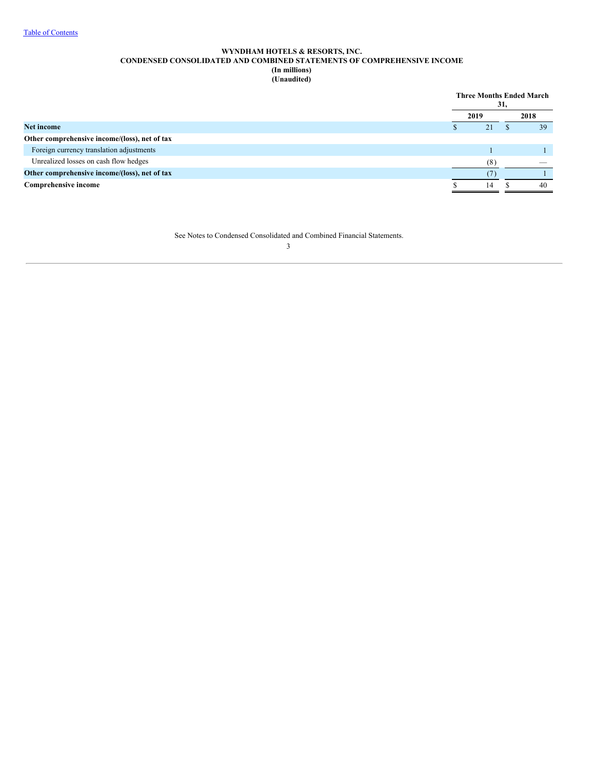# **WYNDHAM HOTELS & RESORTS, INC. CONDENSED CONSOLIDATED AND COMBINED STATEMENTS OF COMPREHENSIVE INCOME (In millions) (Unaudited)**

<span id="page-4-0"></span>

|                                               |      | <b>Three Months Ended March</b><br>31, |
|-----------------------------------------------|------|----------------------------------------|
|                                               | 2019 | 2018                                   |
| <b>Net income</b>                             | 21   | 39                                     |
| Other comprehensive income/(loss), net of tax |      |                                        |
| Foreign currency translation adjustments      |      |                                        |
| Unrealized losses on cash flow hedges         | (8)  |                                        |
| Other comprehensive income/(loss), net of tax |      |                                        |
| Comprehensive income                          | 14   | 40                                     |
|                                               |      |                                        |

See Notes to Condensed Consolidated and Combined Financial Statements.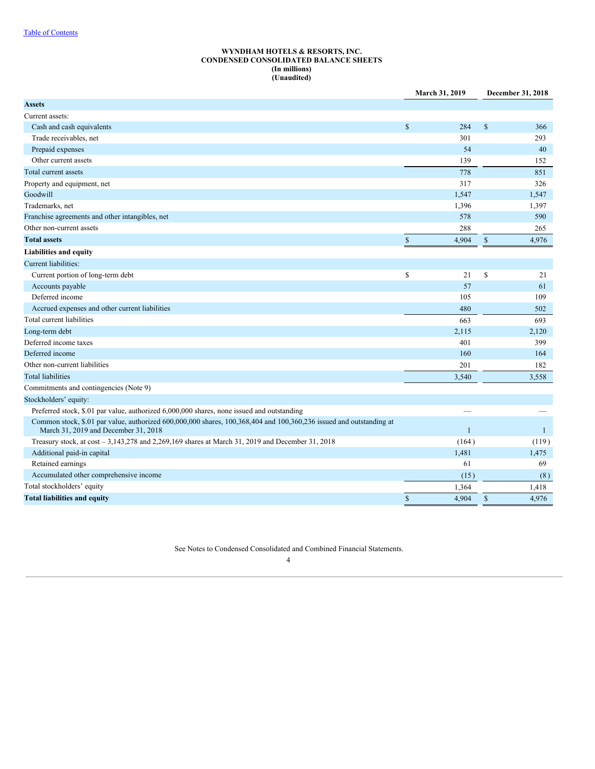### **WYNDHAM HOTELS & RESORTS, INC. CONDENSED CONSOLIDATED BALANCE SHEETS (In millions) (Unaudited)**

<span id="page-5-0"></span>

|                                                                                                                                                             |               | March 31, 2019 |               | December 31, 2018 |
|-------------------------------------------------------------------------------------------------------------------------------------------------------------|---------------|----------------|---------------|-------------------|
| <b>Assets</b>                                                                                                                                               |               |                |               |                   |
| Current assets:                                                                                                                                             |               |                |               |                   |
| Cash and cash equivalents                                                                                                                                   | $\$$          | 284            | $\mathsf{\$}$ | 366               |
| Trade receivables, net                                                                                                                                      |               | 301            |               | 293               |
| Prepaid expenses                                                                                                                                            |               | 54             |               | 40                |
| Other current assets                                                                                                                                        |               | 139            |               | 152               |
| Total current assets                                                                                                                                        |               | 778            |               | 851               |
| Property and equipment, net                                                                                                                                 |               | 317            |               | 326               |
| Goodwill                                                                                                                                                    |               | 1,547          |               | 1,547             |
| Trademarks, net                                                                                                                                             |               | 1,396          |               | 1,397             |
| Franchise agreements and other intangibles, net                                                                                                             |               | 578            |               | 590               |
| Other non-current assets                                                                                                                                    |               | 288            |               | 265               |
| <b>Total assets</b>                                                                                                                                         | $\mathsf{\$}$ | 4,904          | $\mathsf{\$}$ | 4,976             |
| <b>Liabilities and equity</b>                                                                                                                               |               |                |               |                   |
| Current liabilities:                                                                                                                                        |               |                |               |                   |
| Current portion of long-term debt                                                                                                                           | \$            | 21             | \$            | 21                |
| Accounts payable                                                                                                                                            |               | 57             |               | 61                |
| Deferred income                                                                                                                                             |               | 105            |               | 109               |
| Accrued expenses and other current liabilities                                                                                                              |               | 480            |               | 502               |
| Total current liabilities                                                                                                                                   |               | 663            |               | 693               |
| Long-term debt                                                                                                                                              |               | 2,115          |               | 2,120             |
| Deferred income taxes                                                                                                                                       |               | 401            |               | 399               |
| Deferred income                                                                                                                                             |               | 160            |               | 164               |
| Other non-current liabilities                                                                                                                               |               | 201            |               | 182               |
| <b>Total liabilities</b>                                                                                                                                    |               | 3,540          |               | 3,558             |
| Commitments and contingencies (Note 9)                                                                                                                      |               |                |               |                   |
| Stockholders' equity:                                                                                                                                       |               |                |               |                   |
| Preferred stock, \$.01 par value, authorized 6,000,000 shares, none issued and outstanding                                                                  |               |                |               |                   |
| Common stock, \$.01 par value, authorized 600,000,000 shares, 100,368,404 and 100,360,236 issued and outstanding at<br>March 31, 2019 and December 31, 2018 |               | $\mathbf{1}$   |               | $\mathbf{1}$      |
| Treasury stock, at $\cos t - 3,143,278$ and 2,269,169 shares at March 31, 2019 and December 31, 2018                                                        |               | (164)          |               | (119)             |
| Additional paid-in capital                                                                                                                                  |               | 1,481          |               | 1,475             |
| Retained earnings                                                                                                                                           |               | 61             |               | 69                |
| Accumulated other comprehensive income                                                                                                                      |               | (15)           |               | (8)               |
| Total stockholders' equity                                                                                                                                  |               | 1,364          |               | 1,418             |
| <b>Total liabilities and equity</b>                                                                                                                         | $\mathbb{S}$  | 4,904          | \$            | 4,976             |

See Notes to Condensed Consolidated and Combined Financial Statements.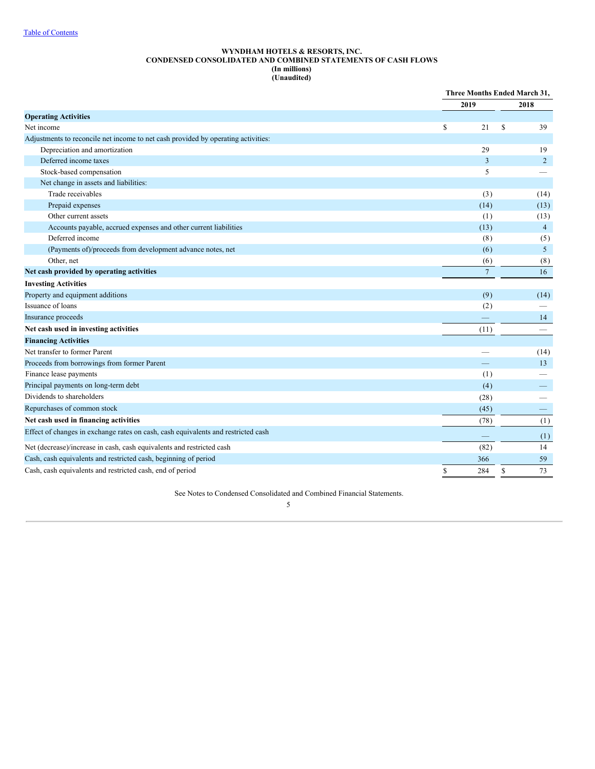### **WYNDHAM HOTELS & RESORTS, INC. CONDENSED CONSOLIDATED AND COMBINED STATEMENTS OF CASH FLOWS (In millions) (Unaudited)**

<span id="page-6-0"></span>

|                                                                                                                                                                                                                                  |                | Three Months Ended March 31, |
|----------------------------------------------------------------------------------------------------------------------------------------------------------------------------------------------------------------------------------|----------------|------------------------------|
| Trade receivables<br>Prepaid expenses<br>Other current assets<br>Accounts payable, accrued expenses and other current liabilities<br>Deferred income<br>(Payments of)/proceeds from development advance notes, net<br>Other, net | 2019           | 2018                         |
| <b>Operating Activities</b>                                                                                                                                                                                                      |                |                              |
| Net income                                                                                                                                                                                                                       | \$<br>21       | \$<br>39                     |
| Adjustments to reconcile net income to net cash provided by operating activities:                                                                                                                                                |                |                              |
| Depreciation and amortization                                                                                                                                                                                                    | 29             | 19                           |
| Deferred income taxes                                                                                                                                                                                                            | 3              | 2                            |
| Stock-based compensation                                                                                                                                                                                                         | 5              |                              |
| Net change in assets and liabilities:                                                                                                                                                                                            |                |                              |
|                                                                                                                                                                                                                                  | (3)            | (14)                         |
|                                                                                                                                                                                                                                  | (14)           | (13)                         |
|                                                                                                                                                                                                                                  | (1)            | (13)                         |
|                                                                                                                                                                                                                                  | (13)           | $\overline{4}$               |
|                                                                                                                                                                                                                                  | (8)            | (5)                          |
|                                                                                                                                                                                                                                  | (6)            | 5                            |
|                                                                                                                                                                                                                                  | (6)            | (8)                          |
| Net cash provided by operating activities                                                                                                                                                                                        | $\overline{7}$ | 16                           |
| <b>Investing Activities</b>                                                                                                                                                                                                      |                |                              |
| Property and equipment additions                                                                                                                                                                                                 | (9)            | (14)                         |
| Issuance of loans                                                                                                                                                                                                                | (2)            |                              |
| Insurance proceeds                                                                                                                                                                                                               |                | 14                           |
| Net cash used in investing activities                                                                                                                                                                                            | (11)           |                              |
| <b>Financing Activities</b>                                                                                                                                                                                                      |                |                              |
| Net transfer to former Parent                                                                                                                                                                                                    |                | (14)                         |
| Proceeds from borrowings from former Parent                                                                                                                                                                                      |                | 13                           |
| Finance lease payments                                                                                                                                                                                                           | (1)            |                              |
| Principal payments on long-term debt                                                                                                                                                                                             | (4)            |                              |
| Dividends to shareholders                                                                                                                                                                                                        | (28)           |                              |
| Repurchases of common stock                                                                                                                                                                                                      | (45)           |                              |
| Net cash used in financing activities                                                                                                                                                                                            | (78)           | (1)                          |
| Effect of changes in exchange rates on cash, cash equivalents and restricted cash                                                                                                                                                |                | (1)                          |
| Net (decrease)/increase in cash, cash equivalents and restricted cash                                                                                                                                                            | (82)           | 14                           |
| Cash, cash equivalents and restricted cash, beginning of period                                                                                                                                                                  | 366            | 59                           |
| Cash, cash equivalents and restricted cash, end of period                                                                                                                                                                        | \$<br>284      | \$<br>73                     |

See Notes to Condensed Consolidated and Combined Financial Statements.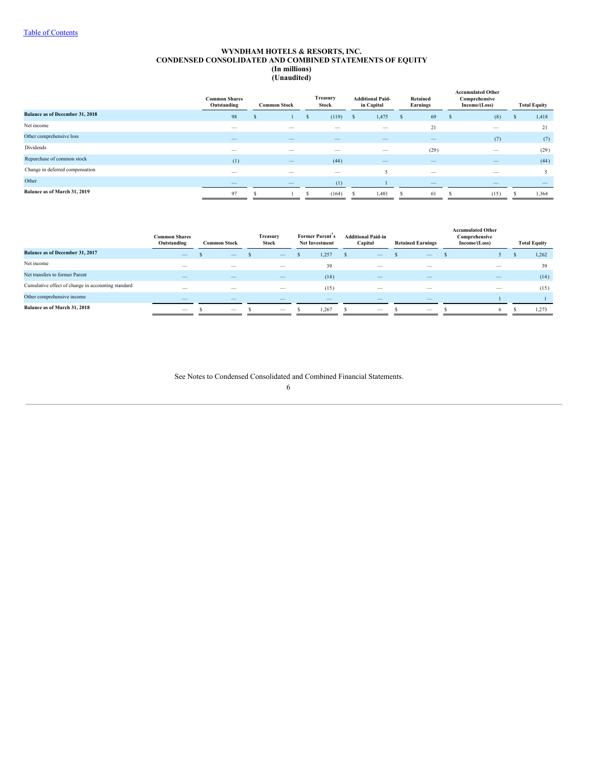### **WYNDHAM HOTELS & RESORTS, INC. CONDENSED CONSOLIDATED AND COMBINED STATEMENTS OF EQUITY (In millions) (Unaudited)**

<span id="page-7-0"></span>

|                                        | <b>Common Shares</b><br>Outstanding |  | <b>Common Stock</b> |  | <b>Treasury</b><br>Stock |  | <b>Additional Paid-</b><br>in Capital |   | Retained<br><b>Earnings</b> |  | <b>Accumulated Other</b><br>Comprehensive<br>Income/(Loss) |  | <b>Total Equity</b> |
|----------------------------------------|-------------------------------------|--|---------------------|--|--------------------------|--|---------------------------------------|---|-----------------------------|--|------------------------------------------------------------|--|---------------------|
| <b>Balance as of December 31, 2018</b> | 98                                  |  |                     |  | (119)                    |  | 1,475                                 | × | 69                          |  | (8)                                                        |  | 1,418               |
| Net income                             |                                     |  |                     |  |                          |  |                                       |   | 21                          |  |                                                            |  | 21                  |
| Other comprehensive loss               | $\overline{\phantom{a}}$            |  | $-$                 |  |                          |  | _                                     |   |                             |  | (7)                                                        |  | (7)                 |
| Dividends                              |                                     |  |                     |  |                          |  |                                       |   | (29)                        |  | $\overline{\phantom{a}}$                                   |  | (29)                |
| Repurchase of common stock             | (1)                                 |  |                     |  | (44)                     |  | _                                     |   |                             |  |                                                            |  | (44)                |
| Change in deferred compensation        | $\overline{\phantom{a}}$            |  |                     |  |                          |  | 5                                     |   |                             |  | $\overline{\phantom{a}}$                                   |  | 5                   |
| Other                                  |                                     |  |                     |  | (1)                      |  |                                       |   | $-$                         |  |                                                            |  |                     |
| Balance as of March 31, 2019           | 97                                  |  |                     |  | (164)                    |  | 1,481                                 |   | 61                          |  | (15)                                                       |  | 1,364               |

|                                                    | <b>Common Shares</b>            |                          | Treasury                 | Former Parent's       |    | <b>Additional Paid-in</b> |                          | <b>Accumulated Other</b><br>Comprehensive |                     |       |
|----------------------------------------------------|---------------------------------|--------------------------|--------------------------|-----------------------|----|---------------------------|--------------------------|-------------------------------------------|---------------------|-------|
|                                                    | Outstanding                     | <b>Common Stock</b>      | <b>Stock</b>             | <b>Net Investment</b> |    | Capital                   | <b>Retained Earnings</b> | Income/(Loss)                             | <b>Total Equity</b> |       |
| Balance as of December 31, 2017                    | $\hspace{0.1mm}-\hspace{0.1mm}$ |                          |                          | 1,257                 | ×. | $\qquad \qquad -$         | $\qquad \qquad -$        |                                           |                     | 1,262 |
| Net income                                         | $\overline{\phantom{a}}$        |                          | $\overline{\phantom{a}}$ | 39                    |    | $\overline{\phantom{a}}$  | $-$                      | $\overline{\phantom{a}}$                  |                     | 39    |
| Net transfers to former Parent                     |                                 |                          |                          | (14)                  |    | $\qquad \qquad -$         | $-$                      | $\overline{\phantom{0}}$                  |                     | (14)  |
| Cumulative effect of change in accounting standard | $\overline{\phantom{a}}$        | $\overline{\phantom{m}}$ | $\overline{\phantom{a}}$ | (15)                  |    | $\overline{\phantom{m}}$  | $\overline{\phantom{a}}$ |                                           |                     | (15)  |
| Other comprehensive income                         |                                 |                          |                          |                       |    |                           | $-$                      |                                           |                     |       |
| Balance as of March 31, 2018                       | $\overline{\phantom{a}}$        | $\overline{\phantom{a}}$ |                          | 1.267                 |    |                           | $\overline{\phantom{m}}$ | 6                                         |                     | 1.273 |

See Notes to Condensed Consolidated and Combined Financial Statements.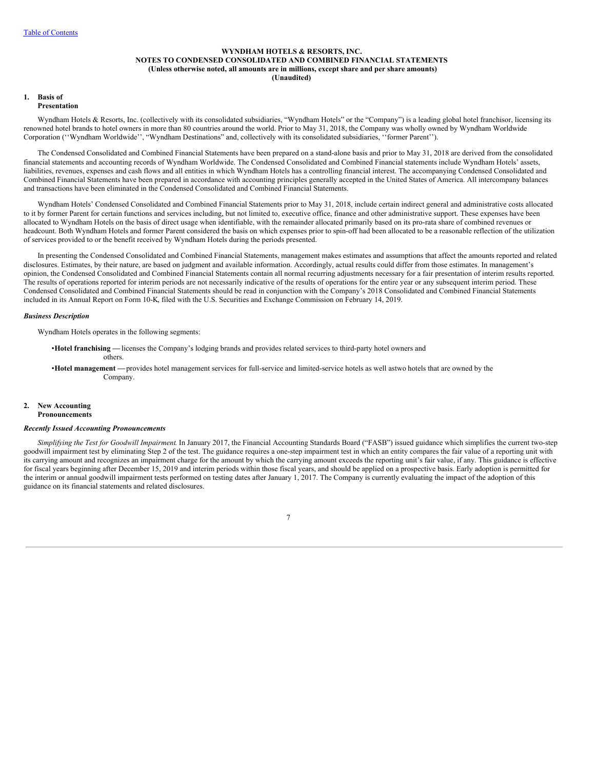# **WYNDHAM HOTELS & RESORTS, INC. NOTES TO CONDENSED CONSOLIDATED AND COMBINED FINANCIAL STATEMENTS (Unless otherwise noted, all amounts are in millions, except share and per share amounts) (Unaudited)**

### <span id="page-8-0"></span>**1. Basis of Presentation**

Wyndham Hotels & Resorts, Inc. (collectively with its consolidated subsidiaries, "Wyndham Hotels" or the "Company") is a leading global hotel franchisor, licensing its renowned hotel brands to hotel owners in more than 80 countries around the world. Prior to May 31, 2018, the Company was wholly owned by Wyndham Worldwide Corporation (''Wyndham Worldwide'', "Wyndham Destinations" and, collectively with its consolidated subsidiaries, ''former Parent'').

The Condensed Consolidated and Combined Financial Statements have been prepared on a stand-alone basis and prior to May 31, 2018 are derived from the consolidated financial statements and accounting records of Wyndham Worldwide. The Condensed Consolidated and Combined Financial statements include Wyndham Hotels' assets, liabilities, revenues, expenses and cash flows and all entities in which Wyndham Hotels has a controlling financial interest. The accompanying Condensed Consolidated and Combined Financial Statements have been prepared in accordance with accounting principles generally accepted in the United States of America. All intercompany balances and transactions have been eliminated in the Condensed Consolidated and Combined Financial Statements.

Wyndham Hotels' Condensed Consolidated and Combined Financial Statements prior to May 31, 2018, include certain indirect general and administrative costs allocated to it by former Parent for certain functions and services including, but not limited to, executive office, finance and other administrative support. These expenses have been allocated to Wyndham Hotels on the basis of direct usage when identifiable, with the remainder allocated primarily based on its pro-rata share of combined revenues or headcount. Both Wyndham Hotels and former Parent considered the basis on which expenses prior to spin-off had been allocated to be a reasonable reflection of the utilization of services provided to or the benefit received by Wyndham Hotels during the periods presented.

In presenting the Condensed Consolidated and Combined Financial Statements, management makes estimates and assumptions that affect the amounts reported and related disclosures. Estimates, by their nature, are based on judgment and available information. Accordingly, actual results could differ from those estimates. In management's opinion, the Condensed Consolidated and Combined Financial Statements contain all normal recurring adjustments necessary for a fair presentation of interim results reported. The results of operations reported for interim periods are not necessarily indicative of the results of operations for the entire year or any subsequent interim period. These Condensed Consolidated and Combined Financial Statements should be read in conjunction with the Company's 2018 Consolidated and Combined Financial Statements included in its Annual Report on [Form](http://www.sec.gov/Archives/edgar/data/1722684/000172268419000008/wh-20181231x10k.htm) 10-K, filed with the U.S. Securities and Exchange Commission on February 14, 2019.

### *Business Description*

Wyndham Hotels operates in the following segments:

- •**Hotel franchising —** licenses the Company's lodging brands and provides related services to third-party hotel owners and others.
- •**Hotel management —**provides hotel management services for full-service and limited-service hotels as well astwo hotels that are owned by the Company.

### **2. New Accounting Pronouncements**

### *Recently Issued Accounting Pronouncements*

*Simplifying the Test for Goodwill Impairment*. In January 2017, the Financial Accounting Standards Board ("FASB") issued guidance which simplifies the current two-step goodwill impairment test by eliminating Step 2 of the test. The guidance requires a one-step impairment test in which an entity compares the fair value of a reporting unit with its carrying amount and recognizes an impairment charge for the amount by which the carrying amount exceeds the reporting unit's fair value, if any. This guidance is effective for fiscal years beginning after December 15, 2019 and interim periods within those fiscal years, and should be applied on a prospective basis. Early adoption is permitted for the interim or annual goodwill impairment tests performed on testing dates after January 1, 2017. The Company is currently evaluating the impact of the adoption of this guidance on its financial statements and related disclosures.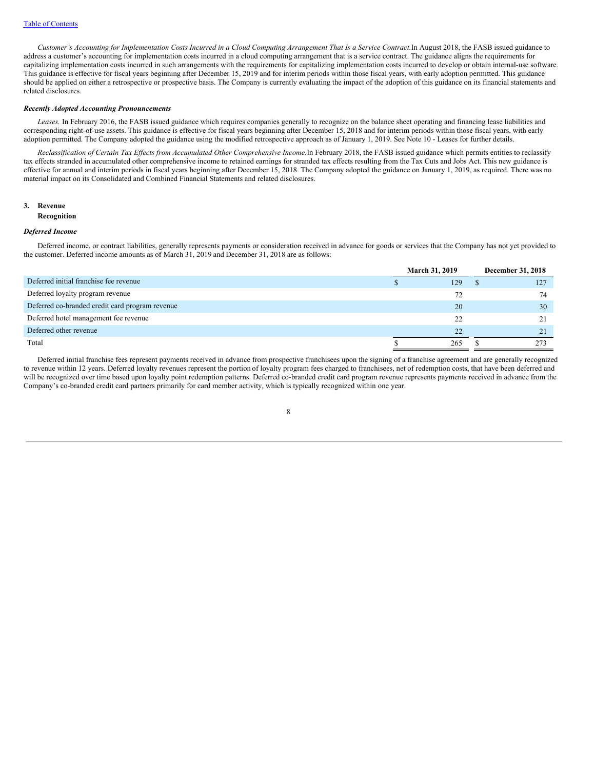Customer's Accounting for Implementation Costs Incurred in a Cloud Computing Arrangement That Is a Service Contract. In August 2018, the FASB issued guidance to address a customer's accounting for implementation costs incurred in a cloud computing arrangement that is a service contract. The guidance aligns the requirements for capitalizing implementation costs incurred in such arrangements with the requirements for capitalizing implementation costs incurred to develop or obtain internal-use software. This guidance is effective for fiscal years beginning after December 15, 2019 and for interim periods within those fiscal years, with early adoption permitted. This guidance should be applied on either a retrospective or prospective basis. The Company is currently evaluating the impact of the adoption of this guidance on its financial statements and related disclosures.

# *Recently Adopted Accounting Pronouncements*

*Leases.* In February 2016, the FASB issued guidance which requires companies generally to recognize on the balance sheet operating and financing lease liabilities and corresponding right-of-use assets. This guidance is effective for fiscal years beginning after December 15, 2018 and for interim periods within those fiscal years, with early adoption permitted. The Company adopted the guidance using the modified retrospective approach as of January 1, 2019. See Note 10 - Leases for further details.

Reclassification of Certain Tax Effects from Accumulated Other Comprehensive Income. In February 2018, the FASB issued guidance which permits entities to reclassify tax effects stranded in accumulated other comprehensive income to retained earnings for stranded tax effects resulting from the Tax Cuts and Jobs Act. This new guidance is effective for annual and interim periods in fiscal years beginning after December 15, 2018. The Company adopted the guidance on January 1, 2019, as required. There was no material impact on its Consolidated and Combined Financial Statements and related disclosures.

### **3. Revenue Recognition**

### *Deferred Income*

Deferred income, or contract liabilities, generally represents payments or consideration received in advance for goods or services that the Company has not yet provided to the customer. Deferred income amounts as of March 31, 2019 and December 31, 2018 are as follows:

|                                                 | <b>March 31, 2019</b> | <b>December 31, 2018</b> |
|-------------------------------------------------|-----------------------|--------------------------|
| Deferred initial franchise fee revenue          | 129                   |                          |
| Deferred loyalty program revenue                | 72                    | 74                       |
| Deferred co-branded credit card program revenue | 20                    | 30                       |
| Deferred hotel management fee revenue           | 22                    |                          |
| Deferred other revenue                          | 22                    |                          |
| Total                                           | 265                   |                          |

Deferred initial franchise fees represent payments received in advance from prospective franchisees upon the signing of a franchise agreement and are generally recognized to revenue within 12 years. Deferred loyalty revenues represent the portion of loyalty program fees charged to franchisees, net of redemption costs, that have been deferred and will be recognized over time based upon loyalty point redemption patterns. Deferred co-branded credit card program revenue represents payments received in advance from the Company's co-branded credit card partners primarily for card member activity, which is typically recognized within one year.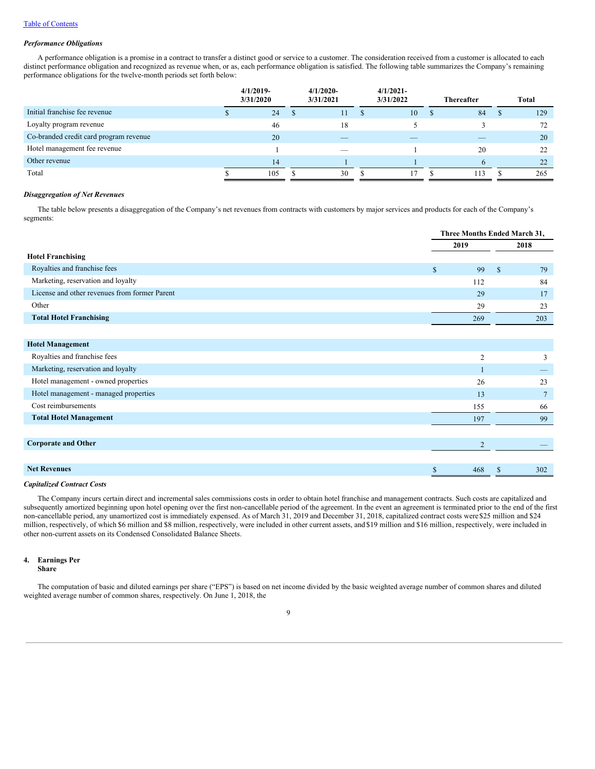### *Performance Obligations*

A performance obligation is a promise in a contract to transfer a distinct good or service to a customer. The consideration received from a customer is allocated to each distinct performance obligation and recognized as revenue when, or as, each performance obligation is satisfied. The following table summarizes the Company's remaining performance obligations for the twelve-month periods set forth below:

|                                        | $4/1/2019$ -<br>3/31/2020 |     |      | $4/1/2020$ -<br>3/31/2021 | $4/1/2021-$<br>3/31/2022 |    | <b>Thereafter</b> | Total |
|----------------------------------------|---------------------------|-----|------|---------------------------|--------------------------|----|-------------------|-------|
| Initial franchise fee revenue          | D                         | 24  | - 35 | 11                        | 10                       | -S | 84                | 129   |
| Loyalty program revenue                |                           | 46  |      | 18                        |                          |    |                   | 72    |
| Co-branded credit card program revenue |                           | 20  |      | _                         |                          |    |                   | 20    |
| Hotel management fee revenue           |                           |     |      | _                         |                          |    | 20                | 22    |
| Other revenue                          |                           | 14  |      |                           |                          |    |                   | 22    |
| Total                                  |                           | 105 |      | 30                        |                          |    | 113               | 265   |

# *Disaggregation of Net Revenues*

The table below presents a disaggregation of the Company's net revenues from contracts with customers by major services and products for each of the Company's segments:

|                                               |                     | Three Months Ended March 31, |                |      |  |
|-----------------------------------------------|---------------------|------------------------------|----------------|------|--|
|                                               | 2019                |                              |                | 2018 |  |
| <b>Hotel Franchising</b>                      |                     |                              |                |      |  |
| Royalties and franchise fees                  | $\mathbb{S}$<br>99  | $\mathbb{S}$                 | 79             |      |  |
| Marketing, reservation and loyalty            | 112                 |                              | 84             |      |  |
| License and other revenues from former Parent | 29                  |                              | 17             |      |  |
| Other                                         | 29                  |                              | 23             |      |  |
| <b>Total Hotel Franchising</b>                | 269                 |                              | 203            |      |  |
|                                               |                     |                              |                |      |  |
| <b>Hotel Management</b>                       |                     |                              |                |      |  |
| Royalties and franchise fees                  | $\overline{c}$      |                              | 3              |      |  |
| Marketing, reservation and loyalty            |                     |                              |                |      |  |
| Hotel management - owned properties           | 26                  |                              | 23             |      |  |
| Hotel management - managed properties         | 13                  |                              | $\overline{7}$ |      |  |
| Cost reimbursements                           | 155                 |                              | 66             |      |  |
| <b>Total Hotel Management</b>                 | 197                 |                              | 99             |      |  |
|                                               |                     |                              |                |      |  |
| <b>Corporate and Other</b>                    |                     | $\overline{c}$               |                |      |  |
|                                               |                     |                              |                |      |  |
| <b>Net Revenues</b>                           | $\mathbb{S}$<br>468 | $\mathbb{S}$                 | 302            |      |  |

### *Capitalized Contract Costs*

The Company incurs certain direct and incremental sales commissions costs in order to obtain hotel franchise and management contracts. Such costs are capitalized and subsequently amortized beginning upon hotel opening over the first non-cancellable period of the agreement. In the event an agreement is terminated prior to the end of the first non-cancellable period, any unamortized cost is immediately expensed. As of March 31, 2019 and December 31, 2018, capitalized contract costs were\$25 million and \$24 million, respectively, of which \$6 million and \$8 million, respectively, were included in other current assets, and \$19 million and \$16 million, respectively, were included in other non-current assets on its Condensed Consolidated Balance Sheets.

# **4. Earnings Per**

**Share**

The computation of basic and diluted earnings per share ("EPS") is based on net income divided by the basic weighted average number of common shares and diluted weighted average number of common shares, respectively. On June 1, 2018, the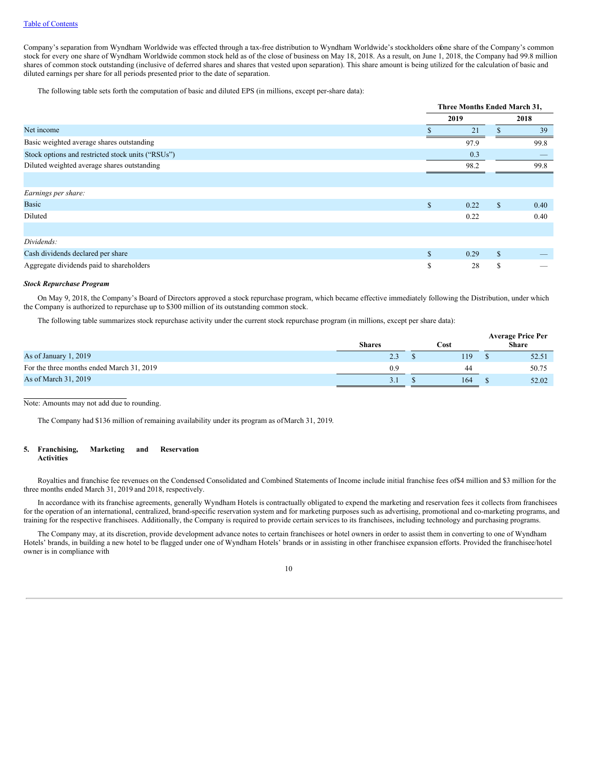Company's separation from Wyndham Worldwide was effected through a tax-free distribution to Wyndham Worldwide's stockholders ofone share of the Company's common stock for every one share of Wyndham Worldwide common stock held as of the close of business on May 18, 2018. As a result, on June 1, 2018, the Company had 99.8 million shares of common stock outstanding (inclusive of deferred shares and shares that vested upon separation). This share amount is being utilized for the calculation of basic and diluted earnings per share for all periods presented prior to the date of separation.

The following table sets forth the computation of basic and diluted EPS (in millions, except per-share data):

|                                                   | Three Months Ended March 31, |      |              |      |
|---------------------------------------------------|------------------------------|------|--------------|------|
|                                                   |                              | 2019 |              | 2018 |
| Net income                                        |                              | 21   |              | 39   |
| Basic weighted average shares outstanding         |                              | 97.9 |              | 99.8 |
| Stock options and restricted stock units ("RSUs") |                              | 0.3  |              |      |
| Diluted weighted average shares outstanding       |                              | 98.2 |              | 99.8 |
|                                                   |                              |      |              |      |
| Earnings per share:                               |                              |      |              |      |
| <b>Basic</b>                                      | $\mathbb{S}$                 | 0.22 | $\mathbb{S}$ | 0.40 |
| Diluted                                           |                              | 0.22 |              | 0.40 |
|                                                   |                              |      |              |      |
| Dividends:                                        |                              |      |              |      |
| Cash dividends declared per share                 | $\mathbb{S}$                 | 0.29 | $\mathbf S$  |      |
| Aggregate dividends paid to shareholders          | S                            | 28   | ъ            |      |

### *Stock Repurchase Program*

On May 9, 2018, the Company's Board of Directors approved a stock repurchase program, which became effective immediately following the Distribution, under which the Company is authorized to repurchase up to \$300 million of its outstanding common stock.

The following table summarizes stock repurchase activity under the current stock repurchase program (in millions, except per share data):

|                                           | <b>Shares</b> | Cost | <b>Average Price Per</b><br><b>Share</b> |
|-------------------------------------------|---------------|------|------------------------------------------|
| As of January 1, 2019                     | 2.3           | 119  | 52.51                                    |
| For the three months ended March 31, 2019 | 0.9           | -44  | 50.75                                    |
| As of March 31, 2019                      | 3.1           | 164  | 52.02                                    |

### Note: Amounts may not add due to rounding.

The Company had \$136 million of remaining availability under its program as ofMarch 31, 2019.

#### **5. Franchising, Marketing and Reservation Activities**

Royalties and franchise fee revenues on the Condensed Consolidated and Combined Statements of Income include initial franchise fees of\$4 million and \$3 million for the three months ended March 31, 2019 and 2018, respectively.

In accordance with its franchise agreements, generally Wyndham Hotels is contractually obligated to expend the marketing and reservation fees it collects from franchisees for the operation of an international, centralized, brand-specific reservation system and for marketing purposes such as advertising, promotional and co-marketing programs, and training for the respective franchisees. Additionally, the Company is required to provide certain services to its franchisees, including technology and purchasing programs.

The Company may, at its discretion, provide development advance notes to certain franchisees or hotel owners in order to assist them in converting to one of Wyndham Hotels' brands, in building a new hotel to be flagged under one of Wyndham Hotels' brands or in assisting in other franchisee expansion efforts. Provided the franchisee/hotel owner is in compliance with

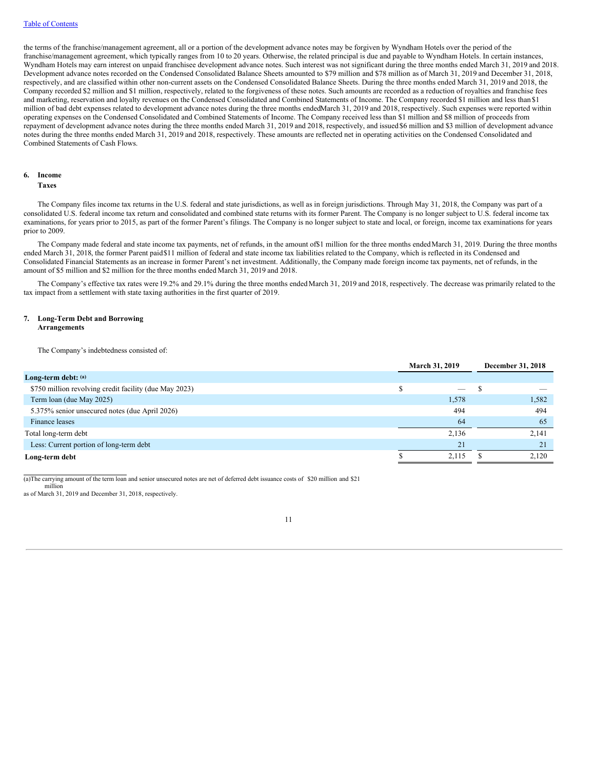the terms of the franchise/management agreement, all or a portion of the development advance notes may be forgiven by Wyndham Hotels over the period of the franchise/management agreement, which typically ranges from 10 to 20 years. Otherwise, the related principal is due and payable to Wyndham Hotels. In certain instances, Wyndham Hotels may earn interest on unpaid franchisee development advance notes. Such interest was not significant during the three months ended March 31, 2019 and 2018. Development advance notes recorded on the Condensed Consolidated Balance Sheets amounted to \$79 million and \$78 million as of March 31, 2019 and December 31, 2018, respectively, and are classified within other non-current assets on the Condensed Consolidated Balance Sheets. During the three months ended March 31, 2019 and 2018, the Company recorded \$2 million and \$1 million, respectively, related to the forgiveness of these notes. Such amounts are recorded as a reduction of royalties and franchise fees and marketing, reservation and loyalty revenues on the Condensed Consolidated and Combined Statements of Income. The Company recorded \$1 million and less than \$1 million of bad debt expenses related to development advance notes during the three months endedMarch 31, 2019 and 2018, respectively. Such expenses were reported within operating expenses on the Condensed Consolidated and Combined Statements of Income. The Company received less than \$1 million and \$8 million of proceeds from repayment of development advance notes during the three months ended March 31, 2019 and 2018, respectively, and issued \$6 million and \$3 million of development advance notes during the three months ended March 31, 2019 and 2018, respectively. These amounts are reflected net in operating activities on the Condensed Consolidated and Combined Statements of Cash Flows.

# **6. Income**

# **Taxes**

The Company files income tax returns in the U.S. federal and state jurisdictions, as well as in foreign jurisdictions. Through May 31, 2018, the Company was part of a consolidated U.S. federal income tax return and consolidated and combined state returns with its former Parent. The Company is no longer subject to U.S. federal income tax examinations, for years prior to 2015, as part of the former Parent's filings. The Company is no longer subject to state and local, or foreign, income tax examinations for years prior to 2009.

The Company made federal and state income tax payments, net of refunds, in the amount of\$1 million for the three months endedMarch 31, 2019. During the three months ended March 31, 2018, the former Parent paid\$11 million of federal and state income tax liabilities related to the Company, which is reflected in its Condensed and Consolidated Financial Statements as an increase in former Parent's net investment. Additionally, the Company made foreign income tax payments, net of refunds, in the amount of \$5 million and \$2 million for the three months ended March 31, 2019 and 2018.

The Company's effective tax rates were 19.2% and 29.1% during the three months ended March 31, 2019 and 2018, respectively. The decrease was primarily related to the tax impact from a settlement with state taxing authorities in the first quarter of 2019.

# **7. Long-Term Debt and Borrowing**

**Arrangements**

The Company's indebtedness consisted of:

|                                                        | March 31, 2019 |       | December 31, 2018 |       |
|--------------------------------------------------------|----------------|-------|-------------------|-------|
| Long-term debt: (a)                                    |                |       |                   |       |
| \$750 million revolving credit facility (due May 2023) |                | _     |                   |       |
| Term loan (due May 2025)                               |                | 1,578 |                   | 1,582 |
| 5.375% senior unsecured notes (due April 2026)         |                | 494   |                   | 494   |
| Finance leases                                         |                | 64    |                   | 65    |
| Total long-term debt                                   |                | 2,136 |                   | 2,141 |
| Less: Current portion of long-term debt                |                | 21    |                   | 21    |
| Long-term debt                                         |                | 2.115 |                   | 2.120 |
|                                                        |                |       |                   |       |

(a)The carrying amount of the term loan and senior unsecured notes are net of deferred debt issuance costs of \$20 million and \$21

million as of March 31, 2019 and December 31, 2018, respectively.

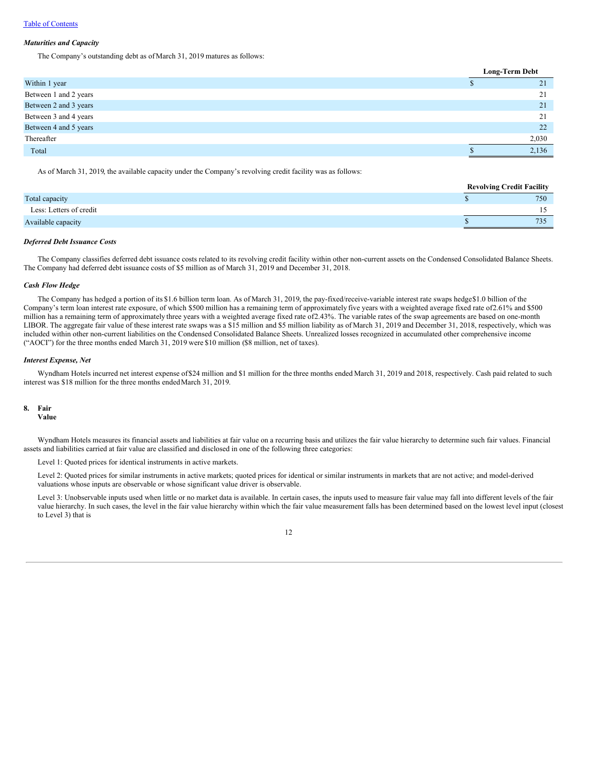### *Maturities and Capacity*

The Company's outstanding debt as of March 31, 2019 matures as follows:

|                       | Long-Term Debt |
|-----------------------|----------------|
| Within 1 year         | 21             |
| Between 1 and 2 years | 21             |
| Between 2 and 3 years | 21             |
| Between 3 and 4 years | 21             |
| Between 4 and 5 years | 22             |
| Thereafter            | 2,030          |
| Total                 | 2,136          |

As of March 31, 2019, the available capacity under the Company's revolving credit facility was as follows:

|                         | <b>Revolving Credit Facility</b> |     |
|-------------------------|----------------------------------|-----|
| Total capacity          |                                  | 750 |
| Less: Letters of credit |                                  |     |
| Available capacity      |                                  | 724 |
|                         |                                  |     |

### *Deferred Debt Issuance Costs*

The Company classifies deferred debt issuance costs related to its revolving credit facility within other non-current assets on the Condensed Consolidated Balance Sheets. The Company had deferred debt issuance costs of \$5 million as of March 31, 2019 and December 31, 2018.

#### *Cash Flow Hedge*

The Company has hedged a portion of its \$1.6 billion term loan. As of March 31, 2019, the pay-fixed/receive-variable interest rate swaps hedge\$1.0 billion of the Company's term loan interest rate exposure, of which \$500 million has a remaining term of approximately five years with a weighted average fixed rate of2.61% and \$500 million has a remaining term of approximately three years with a weighted average fixed rate of2.43%. The variable rates of the swap agreements are based on one-month LIBOR. The aggregate fair value of these interest rate swaps was a \$15 million and \$5 million liability as of March 31, 2019 and December 31, 2018, respectively, which was included within other non-current liabilities on the Condensed Consolidated Balance Sheets. Unrealized losses recognized in accumulated other comprehensive income ("AOCI") for the three months ended March 31, 2019 were \$10 million (\$8 million, net of taxes).

#### *Interest Expense, Net*

Wyndham Hotels incurred net interest expense of \$24 million and \$1 million for the three months ended March 31, 2019 and 2018, respectively. Cash paid related to such interest was \$18 million for the three months endedMarch 31, 2019.

### **8. Fair**

### **Value**

Wyndham Hotels measures its financial assets and liabilities at fair value on a recurring basis and utilizes the fair value hierarchy to determine such fair values. Financial assets and liabilities carried at fair value are classified and disclosed in one of the following three categories:

Level 1: Quoted prices for identical instruments in active markets.

Level 2: Quoted prices for similar instruments in active markets; quoted prices for identical or similar instruments in markets that are not active; and model-derived valuations whose inputs are observable or whose significant value driver is observable.

Level 3: Unobservable inputs used when little or no market data is available. In certain cases, the inputs used to measure fair value may fall into different levels of the fair value hierarchy. In such cases, the level in the fair value hierarchy within which the fair value measurement falls has been determined based on the lowest level input (closest to Level 3) that is

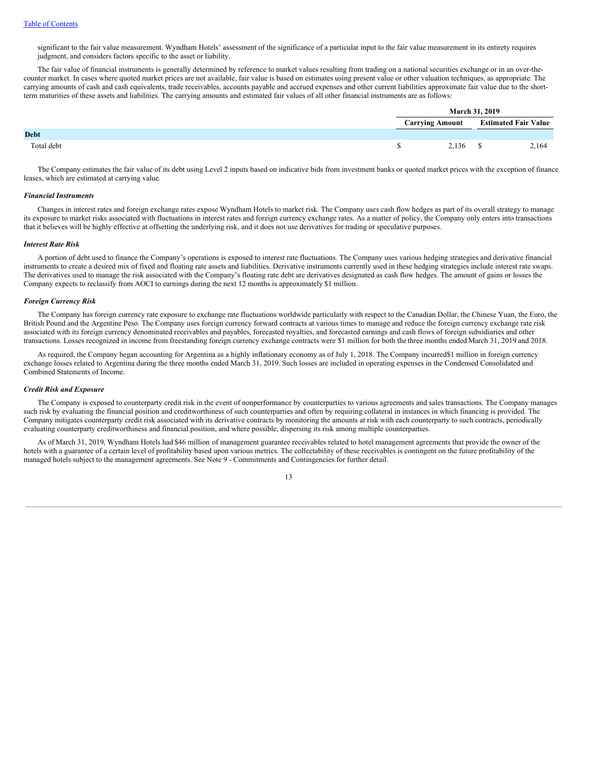significant to the fair value measurement. Wyndham Hotels' assessment of the significance of a particular input to the fair value measurement in its entirety requires judgment, and considers factors specific to the asset or liability.

The fair value of financial instruments is generally determined by reference to market values resulting from trading on a national securities exchange or in an over-thecounter market. In cases where quoted market prices are not available, fair value is based on estimates using present value or other valuation techniques, as appropriate. The carrying amounts of cash and cash equivalents, trade receivables, accounts payable and accrued expenses and other current liabilities approximate fair value due to the shortterm maturities of these assets and liabilities. The carrying amounts and estimated fair values of all other financial instruments are as follows:

|             | March 31, 2019 |  |                                             |  |  |
|-------------|----------------|--|---------------------------------------------|--|--|
|             |                |  | <b>Carrying Amount</b> Estimated Fair Value |  |  |
| <b>Debt</b> |                |  |                                             |  |  |
| Total debt  | 2,136          |  | 2,164                                       |  |  |

The Company estimates the fair value of its debt using Level 2 inputs based on indicative bids from investment banks or quoted market prices with the exception of finance leases, which are estimated at carrying value.

### *Financial Instruments*

Changes in interest rates and foreign exchange rates expose Wyndham Hotels to market risk. The Company uses cash flow hedges as part of its overall strategy to manage its exposure to market risks associated with fluctuations in interest rates and foreign currency exchange rates. As a matter of policy, the Company only enters into transactions that it believes will be highly effective at offsetting the underlying risk, and it does not use derivatives for trading or speculative purposes.

### *Interest Rate Risk*

A portion of debt used to finance the Company's operations is exposed to interest rate fluctuations. The Company uses various hedging strategies and derivative financial instruments to create a desired mix of fixed and floating rate assets and liabilities. Derivative instruments currently used in these hedging strategies include interest rate swaps. The derivatives used to manage the risk associated with the Company's floating rate debt are derivatives designated as cash flow hedges. The amount of gains or losses the Company expects to reclassify from AOCI to earnings during the next 12 months is approximately \$1 million.

#### *Foreign Currency Risk*

The Company has foreign currency rate exposure to exchange rate fluctuations worldwide particularly with respect to the Canadian Dollar, the Chinese Yuan, the Euro, the British Pound and the Argentine Peso. The Company uses foreign currency forward contracts at various times to manage and reduce the foreign currency exchange rate risk associated with its foreign currency denominated receivables and payables, forecasted royalties, and forecasted earnings and cash flows of foreign subsidiaries and other transactions. Losses recognized in income from freestanding foreign currency exchange contracts were \$1 million for both the three months ended March 31, 2019 and 2018.

As required, the Company began accounting for Argentina as a highly inflationary economy as of July 1, 2018. The Company incurred\$1 million in foreign currency exchange losses related to Argentina during the three months ended March 31, 2019. Such losses are included in operating expenses in the Condensed Consolidated and Combined Statements of Income.

### *Credit Risk and Exposure*

The Company is exposed to counterparty credit risk in the event of nonperformance by counterparties to various agreements and sales transactions. The Company manages such risk by evaluating the financial position and creditworthiness of such counterparties and often by requiring collateral in instances in which financing is provided. The Company mitigates counterparty credit risk associated with its derivative contracts by monitoring the amounts at risk with each counterparty to such contracts, periodically evaluating counterparty creditworthiness and financial position, and where possible, dispersing its risk among multiple counterparties.

As of March 31, 2019, Wyndham Hotels had \$46 million of management guarantee receivables related to hotel management agreements that provide the owner of the hotels with a guarantee of a certain level of profitability based upon various metrics. The collectability of these receivables is contingent on the future profitability of the managed hotels subject to the management agreements. See Note 9 - Commitments and Contingencies for further detail.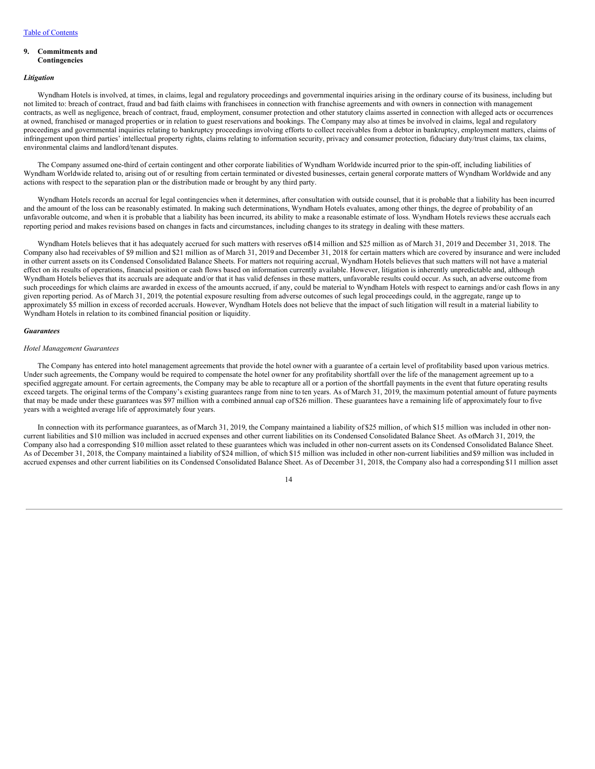### **9. Commitments and Contingencies**

### *Litigation*

Wyndham Hotels is involved, at times, in claims, legal and regulatory proceedings and governmental inquiries arising in the ordinary course of its business, including but not limited to: breach of contract, fraud and bad faith claims with franchisees in connection with franchise agreements and with owners in connection with management contracts, as well as negligence, breach of contract, fraud, employment, consumer protection and other statutory claims asserted in connection with alleged acts or occurrences at owned, franchised or managed properties or in relation to guest reservations and bookings. The Company may also at times be involved in claims, legal and regulatory proceedings and governmental inquiries relating to bankruptcy proceedings involving efforts to collect receivables from a debtor in bankruptcy, employment matters, claims of infringement upon third parties' intellectual property rights, claims relating to information security, privacy and consumer protection, fiduciary duty/trust claims, tax claims, environmental claims and landlord/tenant disputes.

The Company assumed one-third of certain contingent and other corporate liabilities of Wyndham Worldwide incurred prior to the spin-off, including liabilities of Wyndham Worldwide related to, arising out of or resulting from certain terminated or divested businesses, certain general corporate matters of Wyndham Worldwide and any actions with respect to the separation plan or the distribution made or brought by any third party.

Wyndham Hotels records an accrual for legal contingencies when it determines, after consultation with outside counsel, that it is probable that a liability has been incurred and the amount of the loss can be reasonably estimated. In making such determinations, Wyndham Hotels evaluates, among other things, the degree of probability of an unfavorable outcome, and when it is probable that a liability has been incurred, its ability to make a reasonable estimate of loss. Wyndham Hotels reviews these accruals each reporting period and makes revisions based on changes in facts and circumstances, including changes to its strategy in dealing with these matters.

Wyndham Hotels believes that it has adequately accrued for such matters with reserves of \$14 million and \$25 million as of March 31, 2019 and December 31, 2018. The Company also had receivables of \$9 million and \$21 million as of March 31, 2019 and December 31, 2018 for certain matters which are covered by insurance and were included in other current assets on its Condensed Consolidated Balance Sheets. For matters not requiring accrual, Wyndham Hotels believes that such matters will not have a material effect on its results of operations, financial position or cash flows based on information currently available. However, litigation is inherently unpredictable and, although Wyndham Hotels believes that its accruals are adequate and/or that it has valid defenses in these matters, unfavorable results could occur. As such, an adverse outcome from such proceedings for which claims are awarded in excess of the amounts accrued, if any, could be material to Wyndham Hotels with respect to earnings and/or cash flows in any given reporting period. As of March 31, 2019, the potential exposure resulting from adverse outcomes of such legal proceedings could, in the aggregate, range up to approximately \$5 million in excess of recorded accruals. However, Wyndham Hotels does not believe that the impact of such litigation will result in a material liability to Wyndham Hotels in relation to its combined financial position or liquidity.

### *Guarantees*

### *Hotel Management Guarantees*

The Company has entered into hotel management agreements that provide the hotel owner with a guarantee of a certain level of profitability based upon various metrics. Under such agreements, the Company would be required to compensate the hotel owner for any profitability shortfall over the life of the management agreement up to a specified aggregate amount. For certain agreements, the Company may be able to recapture all or a portion of the shortfall payments in the event that future operating results exceed targets. The original terms of the Company's existing guarantees range from nine to ten years. As of March 31, 2019, the maximum potential amount of future payments that may be made under these guarantees was \$97 million with a combined annual cap of \$26 million. These guarantees have a remaining life of approximately four to five years with a weighted average life of approximately four years.

In connection with its performance guarantees, as of March 31, 2019, the Company maintained a liability of \$25 million, of which \$15 million was included in other noncurrent liabilities and \$10 million was included in accrued expenses and other current liabilities on its Condensed Consolidated Balance Sheet. As ofMarch 31, 2019, the Company also had a corresponding \$10 million asset related to these guarantees which was included in other non-current assets on its Condensed Consolidated Balance Sheet. As of December 31, 2018, the Company maintained a liability of \$24 million, of which \$15 million was included in other non-current liabilities and \$9 million was included in accrued expenses and other current liabilities on its Condensed Consolidated Balance Sheet. As of December 31, 2018, the Company also had a corresponding \$11 million asset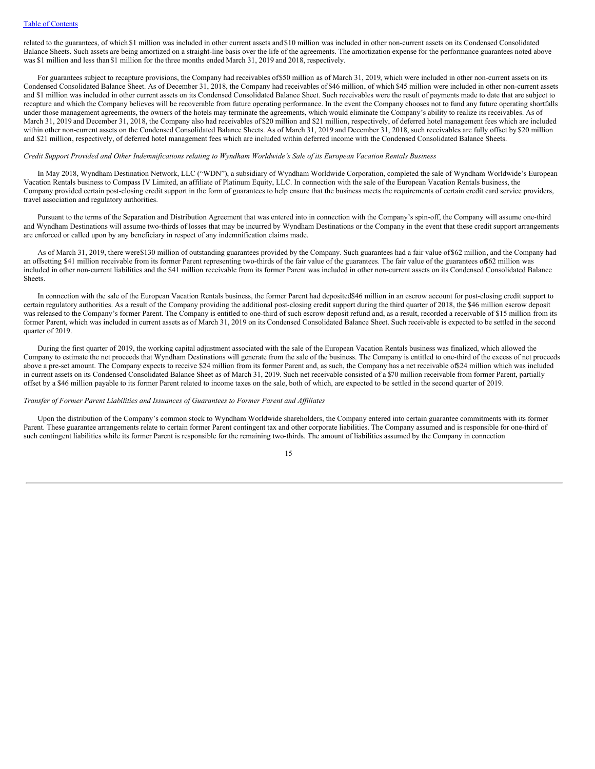related to the guarantees, of which \$1 million was included in other current assets and \$10 million was included in other non-current assets on its Condensed Consolidated Balance Sheets. Such assets are being amortized on a straight-line basis over the life of the agreements. The amortization expense for the performance guarantees noted above was \$1 million and less than \$1 million for the three months ended March 31, 2019 and 2018, respectively.

For guarantees subject to recapture provisions, the Company had receivables of \$50 million as of March 31, 2019, which were included in other non-current assets on its Condensed Consolidated Balance Sheet. As of December 31, 2018, the Company had receivables of \$46 million, of which \$45 million were included in other non-current assets and \$1 million was included in other current assets on its Condensed Consolidated Balance Sheet. Such receivables were the result of payments made to date that are subject to recapture and which the Company believes will be recoverable from future operating performance. In the event the Company chooses not to fund any future operating shortfalls under those management agreements, the owners of the hotels may terminate the agreements, which would eliminate the Company's ability to realize its receivables. As of March 31, 2019 and December 31, 2018, the Company also had receivables of \$20 million and \$21 million, respectively, of deferred hotel management fees which are included within other non-current assets on the Condensed Consolidated Balance Sheets. As of March 31, 2019 and December 31, 2018, such receivables are fully offset by \$20 million and \$21 million, respectively, of deferred hotel management fees which are included within deferred income with the Condensed Consolidated Balance Sheets.

# Credit Support Provided and Other Indemnifications relating to Wyndham Worldwide's Sale of its European Vacation Rentals Business

In May 2018, Wyndham Destination Network, LLC ("WDN"), a subsidiary of Wyndham Worldwide Corporation, completed the sale of Wyndham Worldwide's European Vacation Rentals business to Compass IV Limited, an affiliate of Platinum Equity, LLC. In connection with the sale of the European Vacation Rentals business, the Company provided certain post-closing credit support in the form of guarantees to help ensure that the business meets the requirements of certain credit card service providers, travel association and regulatory authorities.

Pursuant to the terms of the Separation and Distribution Agreement that was entered into in connection with the Company's spin-off, the Company will assume one-third and Wyndham Destinations will assume two-thirds of losses that may be incurred by Wyndham Destinations or the Company in the event that these credit support arrangements are enforced or called upon by any beneficiary in respect of any indemnification claims made.

As of March 31, 2019, there were\$130 million of outstanding guarantees provided by the Company. Such guarantees had a fair value of\$62 million, and the Company had an offsetting \$41 million receivable from its former Parent representing two-thirds of the fair value of the guarantees. The fair value of the guarantees of 62 million was included in other non-current liabilities and the \$41 million receivable from its former Parent was included in other non-current assets on its Condensed Consolidated Balance Sheets.

In connection with the sale of the European Vacation Rentals business, the former Parent had deposited\$46 million in an escrow account for post-closing credit support to certain regulatory authorities. As a result of the Company providing the additional post-closing credit support during the third quarter of 2018, the \$46 million escrow deposit was released to the Company's former Parent. The Company is entitled to one-third of such escrow deposit refund and, as a result, recorded a receivable of \$15 million from its former Parent, which was included in current assets as of March 31, 2019 on its Condensed Consolidated Balance Sheet. Such receivable is expected to be settled in the second quarter of 2019.

During the first quarter of 2019, the working capital adjustment associated with the sale of the European Vacation Rentals business was finalized, which allowed the Company to estimate the net proceeds that Wyndham Destinations will generate from the sale of the business. The Company is entitled to one-third of the excess of net proceeds above a pre-set amount. The Company expects to receive \$24 million from its former Parent and, as such, the Company has a net receivable of\$24 million which was included in current assets on its Condensed Consolidated Balance Sheet as of March 31, 2019. Such net receivable consisted of a \$70 million receivable from former Parent, partially offset by a \$46 million payable to its former Parent related to income taxes on the sale, both of which, are expected to be settled in the second quarter of 2019.

### *Transfer of Former Parent Liabilities and Issuances of Guarantees to Former Parent and Af iliates*

Upon the distribution of the Company's common stock to Wyndham Worldwide shareholders, the Company entered into certain guarantee commitments with its former Parent. These guarantee arrangements relate to certain former Parent contingent tax and other corporate liabilities. The Company assumed and is responsible for one-third of such contingent liabilities while its former Parent is responsible for the remaining two-thirds. The amount of liabilities assumed by the Company in connection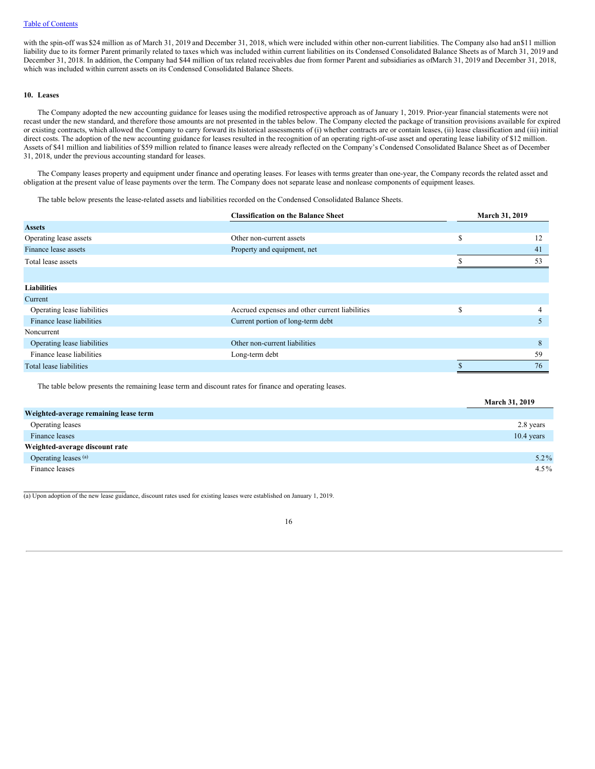with the spin-off was \$24 million as of March 31, 2019 and December 31, 2018, which were included within other non-current liabilities. The Company also had an\$11 million liability due to its former Parent primarily related to taxes which was included within current liabilities on its Condensed Consolidated Balance Sheets as of March 31, 2019 and December 31, 2018. In addition, the Company had \$44 million of tax related receivables due from former Parent and subsidiaries as ofMarch 31, 2019 and December 31, 2018, which was included within current assets on its Condensed Consolidated Balance Sheets.

# **10. Leases**

The Company adopted the new accounting guidance for leases using the modified retrospective approach as of January 1, 2019. Prior-year financial statements were not recast under the new standard, and therefore those amounts are not presented in the tables below. The Company elected the package of transition provisions available for expired or existing contracts, which allowed the Company to carry forward its historical assessments of (i) whether contracts are or contain leases, (ii) lease classification and (iii) initial direct costs. The adoption of the new accounting guidance for leases resulted in the recognition of an operating right-of-use asset and operating lease liability of \$12 million. Assets of \$41 million and liabilities of \$59 million related to finance leases were already reflected on the Company's Condensed Consolidated Balance Sheet as of December 31, 2018, under the previous accounting standard for leases.

The Company leases property and equipment under finance and operating leases. For leases with terms greater than one-year, the Company records the related asset and obligation at the present value of lease payments over the term. The Company does not separate lease and nonlease components of equipment leases.

The table below presents the lease-related assets and liabilities recorded on the Condensed Consolidated Balance Sheets.

|                             | <b>Classification on the Balance Sheet</b>     |        | March 31, 2019 |
|-----------------------------|------------------------------------------------|--------|----------------|
| <b>Assets</b>               |                                                |        |                |
| Operating lease assets      | Other non-current assets                       | \$.    | 12             |
| Finance lease assets        | Property and equipment, net                    |        | 41             |
| Total lease assets          |                                                |        | 53             |
|                             |                                                |        |                |
| <b>Liabilities</b>          |                                                |        |                |
| Current                     |                                                |        |                |
| Operating lease liabilities | Accrued expenses and other current liabilities | ¢<br>ъ | 4              |
| Finance lease liabilities   | Current portion of long-term debt              |        | 5              |
| Noncurrent                  |                                                |        |                |
| Operating lease liabilities | Other non-current liabilities                  |        | 8              |
| Finance lease liabilities   | Long-term debt                                 |        | 59             |
| Total lease liabilities     |                                                |        | 76             |

The table below presents the remaining lease term and discount rates for finance and operating leases.

|                                       | <b>March 31, 2019</b> |
|---------------------------------------|-----------------------|
| Weighted-average remaining lease term |                       |
| Operating leases                      | 2.8 years             |
| Finance leases                        | $10.4$ years          |
| Weighted-average discount rate        |                       |
| Operating leases (a)                  | $5.2\%$               |
| Finance leases                        | $4.5\%$               |

(a) Upon adoption of the new lease guidance, discount rates used for existing leases were established on January 1, 2019.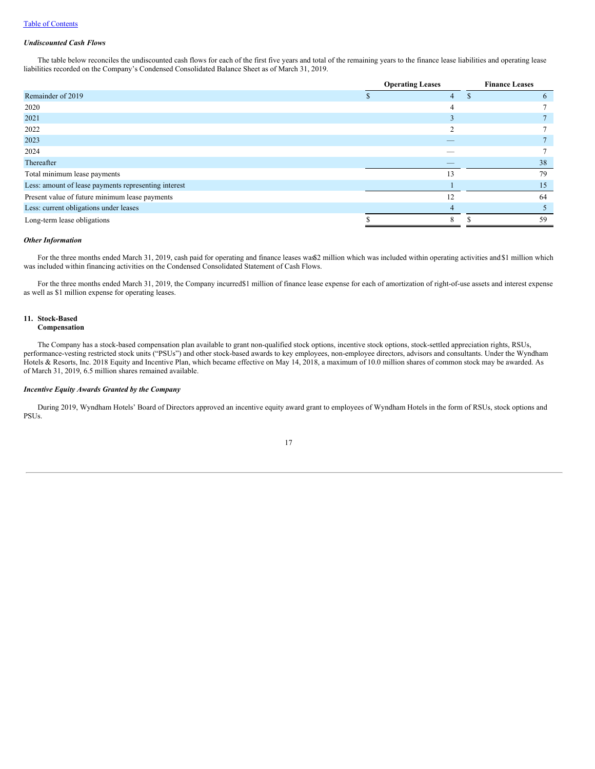# *Undiscounted Cash Flows*

The table below reconciles the undiscounted cash flows for each of the first five years and total of the remaining years to the finance lease liabilities and operating lease liabilities recorded on the Company's Condensed Consolidated Balance Sheet as of March 31, 2019.

|                                                      | <b>Operating Leases</b> | <b>Finance Leases</b> |
|------------------------------------------------------|-------------------------|-----------------------|
| Remainder of 2019                                    | 4                       | 6.<br>.n              |
| 2020                                                 |                         |                       |
| 2021                                                 |                         |                       |
| 2022                                                 |                         |                       |
| 2023                                                 |                         |                       |
| 2024                                                 |                         |                       |
| Thereafter                                           |                         | 38                    |
| Total minimum lease payments                         | 13                      | 79                    |
| Less: amount of lease payments representing interest |                         | 15                    |
| Present value of future minimum lease payments       | 12                      | 64                    |
| Less: current obligations under leases               |                         |                       |
| Long-term lease obligations                          | $\mathbf{8}$            | 59                    |

### *Other Information*

For the three months ended March 31, 2019, cash paid for operating and finance leases was 2 million which was included within operating activities and \$1 million which was included within financing activities on the Condensed Consolidated Statement of Cash Flows.

For the three months ended March 31, 2019, the Company incurred\$1 million of finance lease expense for each of amortization of right-of-use assets and interest expense as well as \$1 million expense for operating leases.

# **11. Stock-Based**

# **Compensation**

The Company has a stock-based compensation plan available to grant non-qualified stock options, incentive stock options, stock-settled appreciation rights, RSUs, performance-vesting restricted stock units ("PSUs") and other stock-based awards to key employees, non-employee directors, advisors and consultants. Under the Wyndham Hotels & Resorts, Inc. 2018 Equity and Incentive Plan, which became effective on May 14, 2018, a maximum of 10.0 million shares of common stock may be awarded. As of March 31, 2019, 6.5 million shares remained available.

### *Incentive Equity Awards Granted by the Company*

During 2019, Wyndham Hotels' Board of Directors approved an incentive equity award grant to employees of Wyndham Hotels in the form of RSUs, stock options and PSUs.

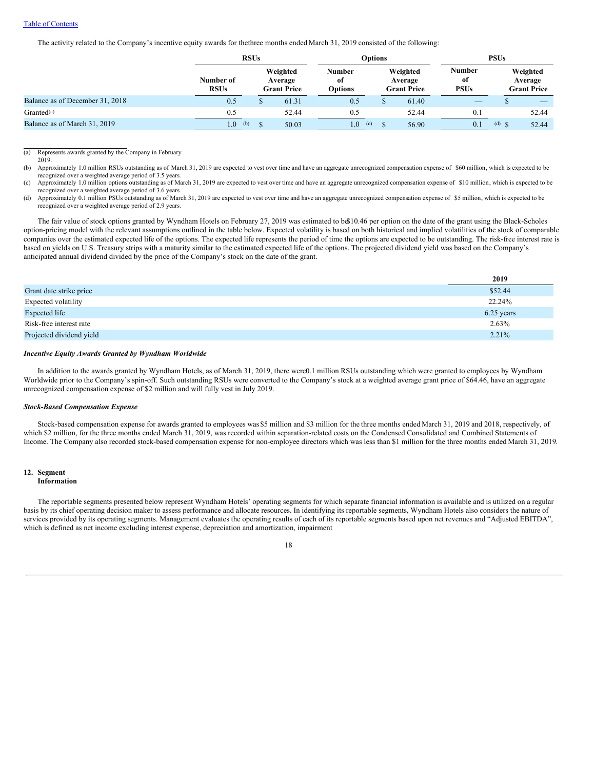# Table of [Contents](#page-1-0)

2019.

The activity related to the Company's incentive equity awards for thethree months ended March 31, 2019 consisted of the following:

|                                 |                          | <b>RSUs</b> | <b>Options</b> |                                           |    |                         | <b>PSUs</b> |                          |       |                                           |     |             |                     |       |  |                                           |
|---------------------------------|--------------------------|-------------|----------------|-------------------------------------------|----|-------------------------|-------------|--------------------------|-------|-------------------------------------------|-----|-------------|---------------------|-------|--|-------------------------------------------|
|                                 | Number of<br><b>RSUs</b> |             |                | Weighted<br>Average<br><b>Grant Price</b> | of |                         |             | Number<br><b>Options</b> |       | Weighted<br>Average<br><b>Grant Price</b> |     | <b>PSUs</b> | <b>Number</b><br>of |       |  | Weighted<br>Average<br><b>Grant Price</b> |
| Balance as of December 31, 2018 | 0.5                      |             |                | 61.31                                     |    | 0.5                     |             |                          | 61.40 |                                           |     |             |                     |       |  |                                           |
| $Granted^{(a)}$                 | 0.5                      |             |                | 52.44                                     |    | 0.5                     |             |                          | 52.44 |                                           | 0.1 |             |                     | 52.44 |  |                                           |
| Balance as of March 31, 2019    | 1.0 <sub>l</sub>         | (b)         |                | 50.03                                     |    | 1.0 <sub>1</sub><br>(c) |             |                          | 56.90 |                                           | 0.1 | $(d)$ $\S$  |                     | 52.44 |  |                                           |

(a) Represents awards granted by the Company in February

(b) Approximately 1.0 million RSUs outstanding as of March 31, 2019 are expected to vest over time and have an aggregate unrecognized compensation expense of \$60 million, which is expected to be recognized over a weighted average period of 3.5 years.

(c) Approximately 1.0 million options outstanding as of March 31, 2019 are expected to vest over time and have an aggregate unrecognized compensation expense of \$10 million, which is expected to be recognized over a weighted average period of 3.6 years.

(d) Approximately 0.1 million PSUs outstanding as of March 31, 2019 are expected to vest over time and have an aggregate unrecognized compensation expense of \$5 million, which is expected to be recognized over a weighted average period of 2.9 years.

The fair value of stock options granted by Wyndham Hotels on February 27, 2019 was estimated to b\$10.46 per option on the date of the grant using the Black-Scholes option-pricing model with the relevant assumptions outlined in the table below. Expected volatility is based on both historical and implied volatilities of the stock of comparable companies over the estimated expected life of the options. The expected life represents the period of time the options are expected to be outstanding. The risk-free interest rate is based on yields on U.S. Treasury strips with a maturity similar to the estimated expected life of the options. The projected dividend yield was based on the Company's anticipated annual dividend divided by the price of the Company's stock on the date of the grant.

|                          | 2019         |
|--------------------------|--------------|
| Grant date strike price  | \$52.44      |
| Expected volatility      | 22.24%       |
| Expected life            | $6.25$ years |
| Risk-free interest rate  | $2.63\%$     |
| Projected dividend yield | 2.21%        |

### *Incentive Equity Awards Granted by Wyndham Worldwide*

In addition to the awards granted by Wyndham Hotels, as of March 31, 2019, there were0.1 million RSUs outstanding which were granted to employees by Wyndham Worldwide prior to the Company's spin-off. Such outstanding RSUs were converted to the Company's stock at a weighted average grant price of \$64.46, have an aggregate unrecognized compensation expense of \$2 million and will fully vest in July 2019.

### *Stock-Based Compensation Expense*

Stock-based compensation expense for awards granted to employees was \$5 million and \$3 million for the three months ended March 31, 2019 and 2018, respectively, of which \$2 million, for the three months ended March 31, 2019, was recorded within separation-related costs on the Condensed Consolidated and Combined Statements of Income. The Company also recorded stock-based compensation expense for non-employee directors which was less than \$1 million for the three months ended March 31, 2019.

# **12. Segment**

**Information**

The reportable segments presented below represent Wyndham Hotels' operating segments for which separate financial information is available and is utilized on a regular basis by its chief operating decision maker to assess performance and allocate resources. In identifying its reportable segments, Wyndham Hotels also considers the nature of services provided by its operating segments. Management evaluates the operating results of each of its reportable segments based upon net revenues and "Adjusted EBITDA", which is defined as net income excluding interest expense, depreciation and amortization, impairment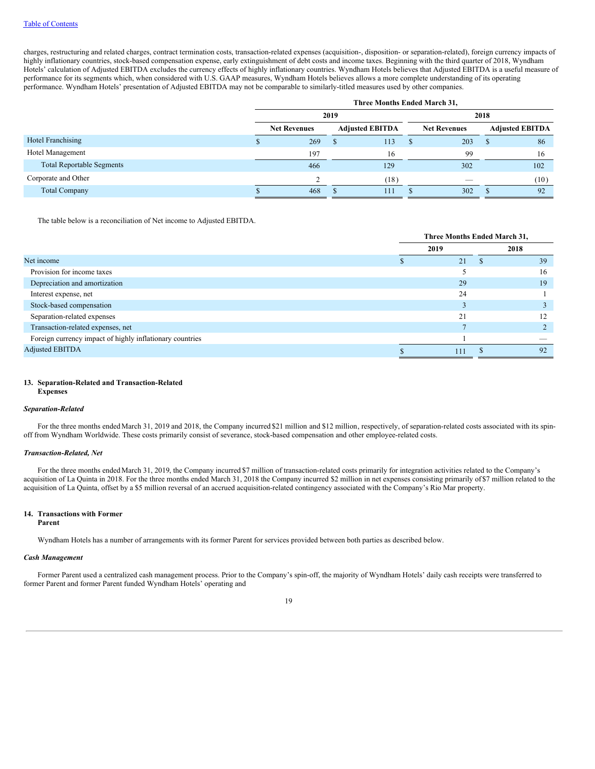charges, restructuring and related charges, contract termination costs, transaction-related expenses (acquisition-, disposition- or separation-related), foreign currency impacts of highly inflationary countries, stock-based compensation expense, early extinguishment of debt costs and income taxes. Beginning with the third quarter of 2018, Wyndham Hotels' calculation of Adjusted EBITDA excludes the currency effects of highly inflationary countries. Wyndham Hotels believes that Adjusted EBITDA is a useful measure of performance for its segments which, when considered with U.S. GAAP measures, Wyndham Hotels believes allows a more complete understanding of its operating performance. Wyndham Hotels' presentation of Adjusted EBITDA may not be comparable to similarly-titled measures used by other companies.

|                                  | Three Months Ended March 31, |                     |     |                        |  |                     |   |                        |
|----------------------------------|------------------------------|---------------------|-----|------------------------|--|---------------------|---|------------------------|
|                                  | 2019                         |                     |     |                        |  |                     |   |                        |
|                                  |                              | <b>Net Revenues</b> |     | <b>Adjusted EBITDA</b> |  | <b>Net Revenues</b> |   | <b>Adjusted EBITDA</b> |
| Hotel Franchising                |                              | 269                 | -85 | 113                    |  | 203                 | S | 86                     |
| Hotel Management                 |                              | 197                 |     | 16                     |  | 99                  |   | 16                     |
| <b>Total Reportable Segments</b> |                              | 466                 |     | 129                    |  | 302                 |   | 102                    |
| Corporate and Other              |                              |                     |     | (18)                   |  |                     |   | (10)                   |
| <b>Total Company</b>             |                              | 468                 |     | 111                    |  | 302                 |   | 92                     |

The table below is a reconciliation of Net income to Adjusted EBITDA.

|                                                          | Three Months Ended March 31, |      |  |  |  |
|----------------------------------------------------------|------------------------------|------|--|--|--|
|                                                          | 2019                         | 2018 |  |  |  |
| Net income                                               | 21                           | 39   |  |  |  |
| Provision for income taxes                               |                              | 16   |  |  |  |
| Depreciation and amortization                            | 29                           | 19   |  |  |  |
| Interest expense, net                                    | 24                           |      |  |  |  |
| Stock-based compensation                                 |                              |      |  |  |  |
| Separation-related expenses                              | 21                           | 12   |  |  |  |
| Transaction-related expenses, net                        |                              |      |  |  |  |
| Foreign currency impact of highly inflationary countries |                              |      |  |  |  |
| <b>Adjusted EBITDA</b>                                   | 111                          | 92   |  |  |  |

# **13. Separation-Related and Transaction-Related**

# **Expenses**

# *Separation-Related*

For the three months ended March 31, 2019 and 2018, the Company incurred \$21 million and \$12 million, respectively, of separation-related costs associated with its spinoff from Wyndham Worldwide. These costs primarily consist of severance, stock-based compensation and other employee-related costs.

### *Transaction-Related, Net*

For the three months ended March 31, 2019, the Company incurred \$7 million of transaction-related costs primarily for integration activities related to the Company's acquisition of La Quinta in 2018. For the three months ended March 31, 2018 the Company incurred \$2 million in net expenses consisting primarily of \$7 million related to the acquisition of La Quinta, offset by a \$5 million reversal of an accrued acquisition-related contingency associated with the Company's Rio Mar property.

# **14. Transactions with Former**

**Parent**

Wyndham Hotels has a number of arrangements with its former Parent for services provided between both parties as described below.

### *Cash Management*

Former Parent used a centralized cash management process. Prior to the Company's spin-off, the majority of Wyndham Hotels' daily cash receipts were transferred to former Parent and former Parent funded Wyndham Hotels' operating and

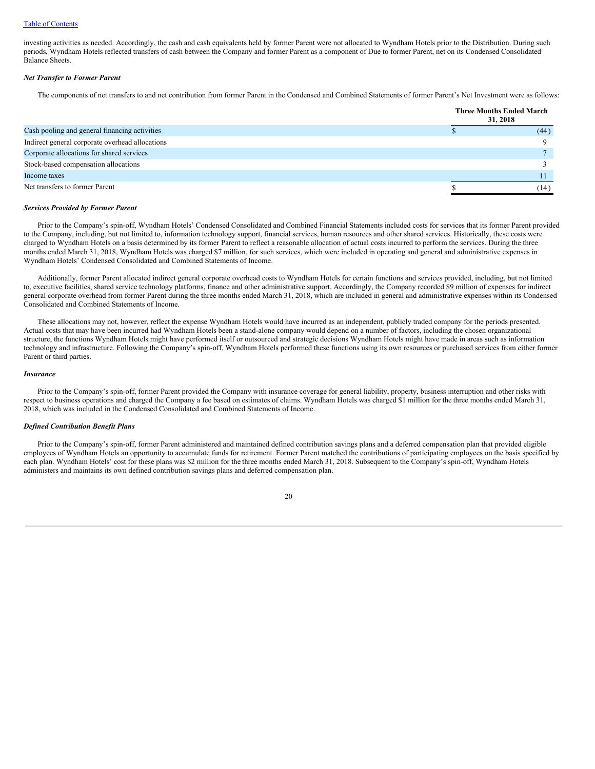investing activities as needed. Accordingly, the cash and cash equivalents held by former Parent were not allocated to Wyndham Hotels prior to the Distribution. During such periods, Wyndham Hotels reflected transfers of cash between the Company and former Parent as a component of Due to former Parent, net on its Condensed Consolidated Balance Sheets.

### *Net Transfer to Former Parent*

The components of net transfers to and net contribution from former Parent in the Condensed and Combined Statements of former Parent's Net Investment were as follows:

| 31, 2018                                        |      |
|-------------------------------------------------|------|
| Cash pooling and general financing activities   | (44) |
| Indirect general corporate overhead allocations |      |
| Corporate allocations for shared services       |      |
| Stock-based compensation allocations            |      |
| Income taxes                                    |      |
| Net transfers to former Parent                  | (14) |

### *Services Provided by Former Parent*

Prior to the Company's spin-off, Wyndham Hotels' Condensed Consolidated and Combined Financial Statements included costs for services that its former Parent provided to the Company, including, but not limited to, information technology support, financial services, human resources and other shared services. Historically, these costs were charged to Wyndham Hotels on a basis determined by its former Parent to reflect a reasonable allocation of actual costs incurred to perform the services. During the three months ended March 31, 2018, Wyndham Hotels was charged \$7 million, for such services, which were included in operating and general and administrative expenses in Wyndham Hotels' Condensed Consolidated and Combined Statements of Income.

Additionally, former Parent allocated indirect general corporate overhead costs to Wyndham Hotels for certain functions and services provided, including, but not limited to, executive facilities, shared service technology platforms, finance and other administrative support. Accordingly, the Company recorded \$9 million of expenses for indirect general corporate overhead from former Parent during the three months ended March 31, 2018, which are included in general and administrative expenses within its Condensed Consolidated and Combined Statements of Income.

These allocations may not, however, reflect the expense Wyndham Hotels would have incurred as an independent, publicly traded company for the periods presented. Actual costs that may have been incurred had Wyndham Hotels been a stand-alone company would depend on a number of factors, including the chosen organizational structure, the functions Wyndham Hotels might have performed itself or outsourced and strategic decisions Wyndham Hotels might have made in areas such as information technology and infrastructure. Following the Company's spin-off, Wyndham Hotels performed these functions using its own resources or purchased services from either former Parent or third parties.

### *Insurance*

Prior to the Company's spin-off, former Parent provided the Company with insurance coverage for general liability, property, business interruption and other risks with respect to business operations and charged the Company a fee based on estimates of claims. Wyndham Hotels was charged \$1 million for the three months ended March 31, 2018, which was included in the Condensed Consolidated and Combined Statements of Income.

### *Defined Contribution Benefit Plans*

Prior to the Company's spin-off, former Parent administered and maintained defined contribution savings plans and a deferred compensation plan that provided eligible employees of Wyndham Hotels an opportunity to accumulate funds for retirement. Former Parent matched the contributions of participating employees on the basis specified by each plan. Wyndham Hotels' cost for these plans was \$2 million for the three months ended March 31, 2018. Subsequent to the Company's spin-off, Wyndham Hotels administers and maintains its own defined contribution savings plans and deferred compensation plan.

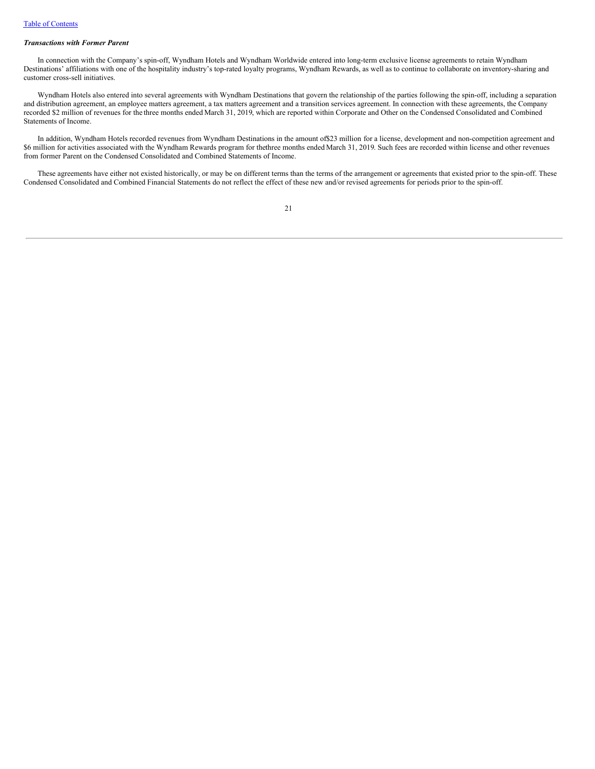### *Transactions with Former Parent*

In connection with the Company's spin-off, Wyndham Hotels and Wyndham Worldwide entered into long-term exclusive license agreements to retain Wyndham Destinations' affiliations with one of the hospitality industry's top-rated loyalty programs, Wyndham Rewards, as well as to continue to collaborate on inventory-sharing and customer cross-sell initiatives.

Wyndham Hotels also entered into several agreements with Wyndham Destinations that govern the relationship of the parties following the spin-off, including a separation and distribution agreement, an employee matters agreement, a tax matters agreement and a transition services agreement. In connection with these agreements, the Company recorded \$2 million of revenues for the three months ended March 31, 2019, which are reported within Corporate and Other on the Condensed Consolidated and Combined Statements of Income.

In addition, Wyndham Hotels recorded revenues from Wyndham Destinations in the amount of\$23 million for a license, development and non-competition agreement and \$6 million for activities associated with the Wyndham Rewards program for thethree months ended March 31, 2019. Such fees are recorded within license and other revenues from former Parent on the Condensed Consolidated and Combined Statements of Income.

These agreements have either not existed historically, or may be on different terms than the terms of the arrangement or agreements that existed prior to the spin-off. These Condensed Consolidated and Combined Financial Statements do not reflect the effect of these new and/or revised agreements for periods prior to the spin-off.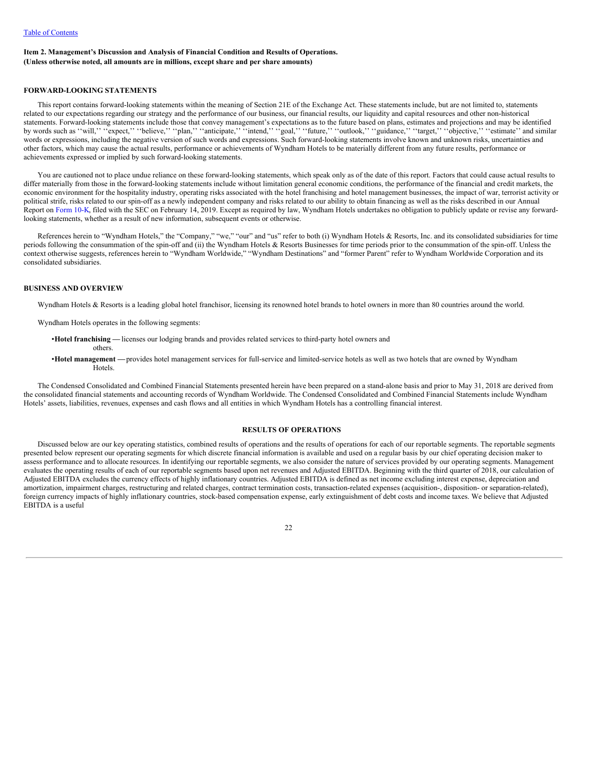# <span id="page-23-0"></span>**Item 2. Management's Discussion and Analysis of Financial Condition and Results of Operations. (Unless otherwise noted, all amounts are in millions, except share and per share amounts)**

# <span id="page-23-1"></span>**FORWARD-LOOKING STATEMENTS**

This report contains forward-looking statements within the meaning of Section 21E of the Exchange Act. These statements include, but are not limited to, statements related to our expectations regarding our strategy and the performance of our business, our financial results, our liquidity and capital resources and other non-historical statements. Forward-looking statements include those that convey management's expectations as to the future based on plans, estimates and projections and may be identified by words such as "will," "expect," "believe," "plan," "anticipate," "intend," "goal," "future," "outlook," "guidance," "target," "objective," "estimate" and similar words or expressions, including the negative version of such words and expressions. Such forward-looking statements involve known and unknown risks, uncertainties and other factors, which may cause the actual results, performance or achievements of Wyndham Hotels to be materially different from any future results, performance or achievements expressed or implied by such forward-looking statements.

You are cautioned not to place undue reliance on these forward-looking statements, which speak only as of the date of this report. Factors that could cause actual results to differ materially from those in the forward-looking statements include without limitation general economic conditions, the performance of the financial and credit markets, the economic environment for the hospitality industry, operating risks associated with the hotel franchising and hotel management businesses, the impact of war, terrorist activity or political strife, risks related to our spin-off as a newly independent company and risks related to our ability to obtain financing as well as the risks described in our Annual Report on [Form](http://www.sec.gov/Archives/edgar/data/1722684/000172268419000008/wh-20181231x10k.htm) 10-K, filed with the SEC on February 14, 2019. Except as required by law, Wyndham Hotels undertakes no obligation to publicly update or revise any forwardlooking statements, whether as a result of new information, subsequent events or otherwise.

References herein to "Wyndham Hotels," the "Company," "we," "our" and "us" refer to both (i) Wyndham Hotels & Resorts, Inc. and its consolidated subsidiaries for time periods following the consummation of the spin-off and (ii) the Wyndham Hotels & Resorts Businesses for time periods prior to the consummation of the spin-off. Unless the context otherwise suggests, references herein to "Wyndham Worldwide," "Wyndham Destinations" and "former Parent" refer to Wyndham Worldwide Corporation and its consolidated subsidiaries.

# **BUSINESS AND OVERVIEW**

Wyndham Hotels & Resorts is a leading global hotel franchisor, licensing its renowned hotel brands to hotel owners in more than 80 countries around the world.

Wyndham Hotels operates in the following segments:

•**Hotel franchising —** licenses our lodging brands and provides related services to third-party hotel owners and

others.

•**Hotel management —**provides hotel management services for full-service and limited-service hotels as well as two hotels that are owned by Wyndham **Hotels**.

The Condensed Consolidated and Combined Financial Statements presented herein have been prepared on a stand-alone basis and prior to May 31, 2018 are derived from the consolidated financial statements and accounting records of Wyndham Worldwide. The Condensed Consolidated and Combined Financial Statements include Wyndham Hotels' assets, liabilities, revenues, expenses and cash flows and all entities in which Wyndham Hotels has a controlling financial interest.

### **RESULTS OF OPERATIONS**

Discussed below are our key operating statistics, combined results of operations and the results of operations for each of our reportable segments. The reportable segments presented below represent our operating segments for which discrete financial information is available and used on a regular basis by our chief operating decision maker to assess performance and to allocate resources. In identifying our reportable segments, we also consider the nature of services provided by our operating segments. Management evaluates the operating results of each of our reportable segments based upon net revenues and Adjusted EBITDA. Beginning with the third quarter of 2018, our calculation of Adjusted EBITDA excludes the currency effects of highly inflationary countries. Adjusted EBITDA is defined as net income excluding interest expense, depreciation and amortization, impairment charges, restructuring and related charges, contract termination costs, transaction-related expenses (acquisition-, disposition- or separation-related), foreign currency impacts of highly inflationary countries, stock-based compensation expense, early extinguishment of debt costs and income taxes. We believe that Adjusted EBITDA is a useful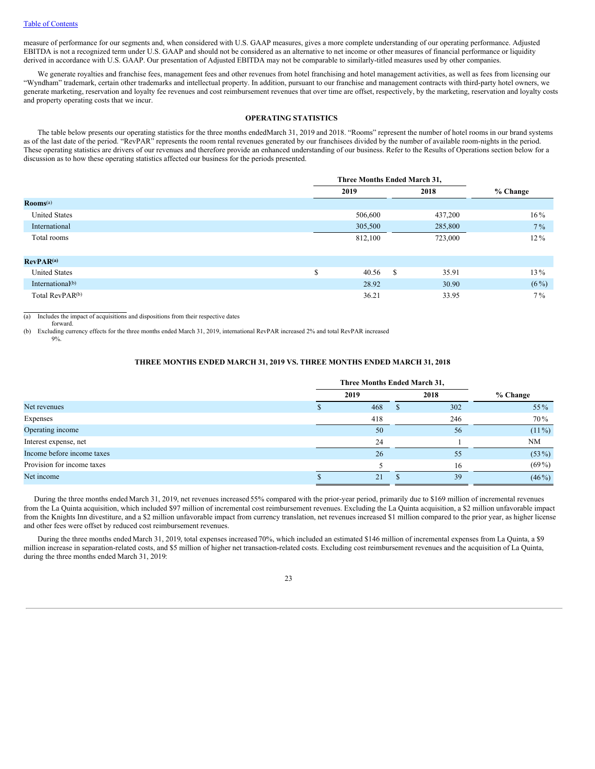measure of performance for our segments and, when considered with U.S. GAAP measures, gives a more complete understanding of our operating performance. Adjusted EBITDA is not a recognized term under U.S. GAAP and should not be considered as an alternative to net income or other measures of financial performance or liquidity derived in accordance with U.S. GAAP. Our presentation of Adjusted EBITDA may not be comparable to similarly-titled measures used by other companies.

We generate royalties and franchise fees, management fees and other revenues from hotel franchising and hotel management activities, as well as fees from licensing our "Wyndham" trademark, certain other trademarks and intellectual property. In addition, pursuant to our franchise and management contracts with third-party hotel owners, we generate marketing, reservation and loyalty fee revenues and cost reimbursement revenues that over time are offset, respectively, by the marketing, reservation and loyalty costs and property operating costs that we incur.

### **OPERATING STATISTICS**

The table below presents our operating statistics for the three months endedMarch 31, 2019 and 2018. "Rooms" represent the number of hotel rooms in our brand systems as of the last date of the period. "RevPAR" represents the room rental revenues generated by our franchisees divided by the number of available room-nights in the period. These operating statistics are drivers of our revenues and therefore provide an enhanced understanding of our business. Refer to the Results of Operations section below for a discussion as to how these operating statistics affected our business for the periods presented.

|                              |                | Three Months Ended March 31, |   |         |          |
|------------------------------|----------------|------------------------------|---|---------|----------|
|                              |                | 2019                         |   | 2018    | % Change |
| Rooms <sup>(a)</sup>         |                |                              |   |         |          |
| <b>United States</b>         |                | 506,600                      |   | 437,200 | $16\%$   |
| International                |                | 305,500                      |   | 285,800 | $7\%$    |
| Total rooms                  |                | 812,100                      |   | 723,000 | $12\%$   |
|                              |                |                              |   |         |          |
| <b>RevPAR<sup>(a)</sup></b>  |                |                              |   |         |          |
| <b>United States</b>         | <b>CD</b><br>ъ | 40.56                        | S | 35.91   | 13%      |
| International <sup>(b)</sup> |                | 28.92                        |   | 30.90   | $(6\%)$  |
| Total RevPAR <sup>(b)</sup>  |                | 36.21                        |   | 33.95   | $7\%$    |

(a) Includes the impact of acquisitions and dispositions from their respective dates

forward.

(b) Excluding currency effects for the three months ended March 31, 2019, international RevPAR increased 2% and total RevPAR increased 9%.

# **THREE MONTHS ENDED MARCH 31, 2019 VS. THREE MONTHS ENDED MARCH 31, 2018**

|                            | Three Months Ended March 31, |      |      |            |
|----------------------------|------------------------------|------|------|------------|
|                            |                              | 2019 | 2018 | $%$ Change |
| Net revenues               |                              | 468  | 302  | 55 %       |
| Expenses                   |                              | 418  | 246  | 70%        |
| Operating income           |                              | 50   | 56   | $(11\%)$   |
| Interest expense, net      |                              | 24   |      | <b>NM</b>  |
| Income before income taxes |                              | 26   | 55   | $(53\%)$   |
| Provision for income taxes |                              |      | 16   | $(69\%)$   |
| Net income                 |                              | 21   | 39   | $(46\%)$   |

During the three months ended March 31, 2019, net revenues increased 55% compared with the prior-year period, primarily due to \$169 million of incremental revenues from the La Quinta acquisition, which included \$97 million of incremental cost reimbursement revenues. Excluding the La Quinta acquisition, a \$2 million unfavorable impact from the Knights Inn divestiture, and a \$2 million unfavorable impact from currency translation, net revenues increased \$1 million compared to the prior year, as higher license and other fees were offset by reduced cost reimbursement revenues.

During the three months ended March 31, 2019, total expenses increased 70%, which included an estimated \$146 million of incremental expenses from La Quinta, a \$9 million increase in separation-related costs, and \$5 million of higher net transaction-related costs. Excluding cost reimbursement revenues and the acquisition of La Quinta, during the three months ended March 31, 2019: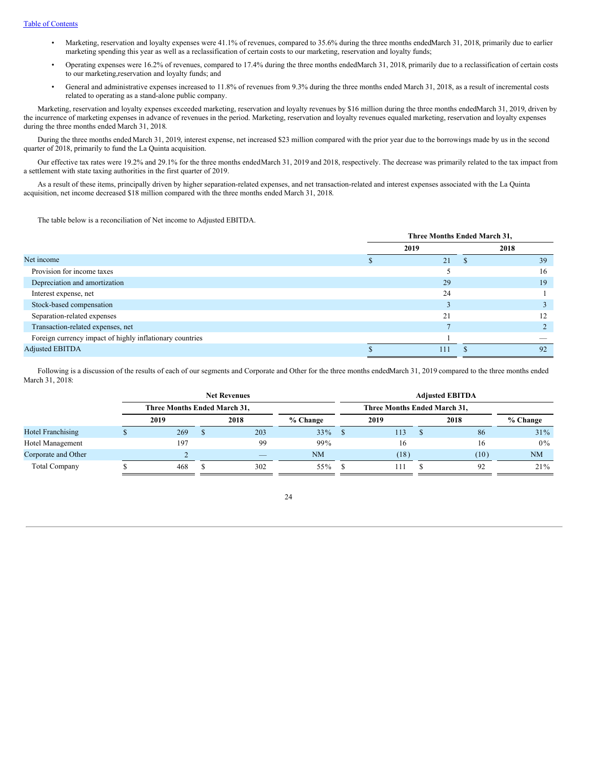- Marketing, reservation and loyalty expenses were 41.1% of revenues, compared to 35.6% during the three months endedMarch 31, 2018, primarily due to earlier marketing spending this year as well as a reclassification of certain costs to our marketing, reservation and loyalty funds;
- Operating expenses were 16.2% of revenues, compared to 17.4% during the three months endedMarch 31, 2018, primarily due to a reclassification of certain costs to our marketing,reservation and loyalty funds; and
- General and administrative expenses increased to 11.8% of revenues from 9.3% during the three months ended March 31, 2018, as a result of incremental costs related to operating as a stand-alone public company.

Marketing, reservation and loyalty expenses exceeded marketing, reservation and loyalty revenues by \$16 million during the three months endedMarch 31, 2019, driven by the incurrence of marketing expenses in advance of revenues in the period. Marketing, reservation and loyalty revenues equaled marketing, reservation and loyalty expenses during the three months ended March 31, 2018.

During the three months ended March 31, 2019, interest expense, net increased \$23 million compared with the prior year due to the borrowings made by us in the second quarter of 2018, primarily to fund the La Quinta acquisition.

Our effective tax rates were 19.2% and 29.1% for the three months endedMarch 31, 2019 and 2018, respectively. The decrease was primarily related to the tax impact from a settlement with state taxing authorities in the first quarter of 2019.

As a result of these items, principally driven by higher separation-related expenses, and net transaction-related and interest expenses associated with the La Quinta acquisition, net income decreased \$18 million compared with the three months ended March 31, 2018.

The table below is a reconciliation of Net income to Adjusted EBITDA.

|                                                          | Three Months Ended March 31, |      |  |        |  |
|----------------------------------------------------------|------------------------------|------|--|--------|--|
|                                                          | 2019                         | 2018 |  |        |  |
| Net income                                               |                              | 21   |  | 39     |  |
| Provision for income taxes                               |                              |      |  | 16     |  |
| Depreciation and amortization                            |                              | 29   |  | 19     |  |
| Interest expense, net                                    |                              | 24   |  |        |  |
| Stock-based compensation                                 |                              |      |  |        |  |
| Separation-related expenses                              |                              | 21   |  |        |  |
| Transaction-related expenses, net                        |                              |      |  |        |  |
| Foreign currency impact of highly inflationary countries |                              |      |  | $\sim$ |  |
| <b>Adjusted EBITDA</b>                                   |                              | 111  |  | 92     |  |

Following is a discussion of the results of each of our segments and Corporate and Other for the three months endedMarch 31, 2019 compared to the three months ended March 31, 2018:

|                          |                              |    | <b>Net Revenues</b>      |           | <b>Adjusted EBITDA</b> |                              |  |      |            |  |  |
|--------------------------|------------------------------|----|--------------------------|-----------|------------------------|------------------------------|--|------|------------|--|--|
|                          | Three Months Ended March 31, |    |                          |           |                        | Three Months Ended March 31, |  |      |            |  |  |
|                          | 2019                         |    | 2018                     | % Change  |                        | 2019                         |  | 2018 | $%$ Change |  |  |
| <b>Hotel Franchising</b> | 269                          | ۰D | 203                      | 33%       |                        | 113                          |  | 86   | 31%        |  |  |
| Hotel Management         | 197                          |    | 99                       | 99%       |                        | 16                           |  | 16   | $0\%$      |  |  |
| Corporate and Other      |                              |    | $\overline{\phantom{a}}$ | <b>NM</b> |                        | (18)                         |  | (10) | <b>NM</b>  |  |  |
| <b>Total Company</b>     | 468                          |    | 302                      | 55%       |                        | 111                          |  | 92   | 21%        |  |  |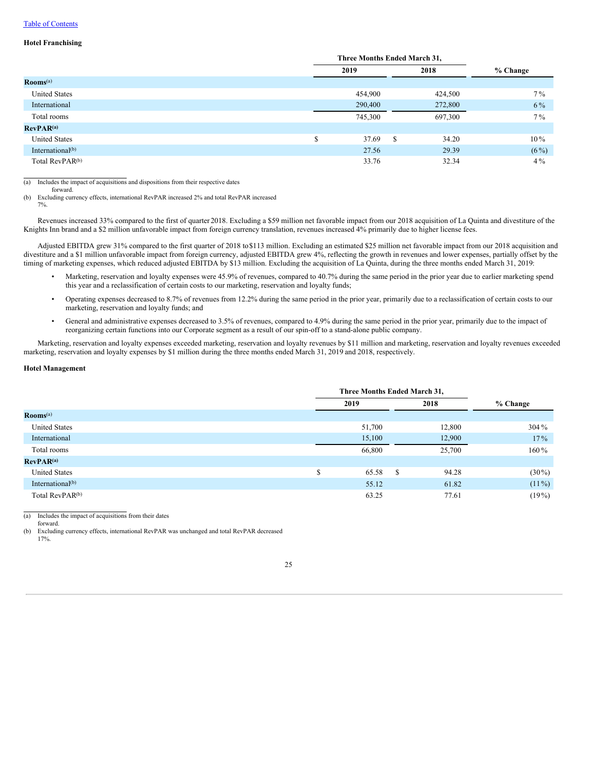# Table of [Contents](#page-1-0)

### **Hotel Franchising**

|                               |   | Three Months Ended March 31, |             |          |  |  |
|-------------------------------|---|------------------------------|-------------|----------|--|--|
|                               |   | 2019                         | 2018        | % Change |  |  |
| $\mathbf{Rooms}^{\text{(a)}}$ |   |                              |             |          |  |  |
| <b>United States</b>          |   | 454,900                      | 424,500     | $7\%$    |  |  |
| International                 |   | 290,400                      | 272,800     | $6\%$    |  |  |
| Total rooms                   |   | 745,300                      | 697,300     | $7\%$    |  |  |
| RevPAR <sup>(a)</sup>         |   |                              |             |          |  |  |
| <b>United States</b>          | S | 37.69                        | 34.20<br>-S | $10\%$   |  |  |
| International <sup>(b)</sup>  |   | 27.56                        | 29.39       | $(6\%)$  |  |  |
| Total RevPAR <sup>(b)</sup>   |   | 33.76                        | 32.34       | $4\%$    |  |  |

(a) Includes the impact of acquisitions and dispositions from their respective dates

forward.

(b) Excluding currency effects, international RevPAR increased 2% and total RevPAR increased 7%.

Revenues increased 33% compared to the first of quarter 2018. Excluding a \$59 million net favorable impact from our 2018 acquisition of La Quinta and divestiture of the Knights Inn brand and a \$2 million unfavorable impact from foreign currency translation, revenues increased 4% primarily due to higher license fees.

Adjusted EBITDA grew 31% compared to the first quarter of 2018 to\$113 million. Excluding an estimated \$25 million net favorable impact from our 2018 acquisition and divestiture and a \$1 million unfavorable impact from foreign currency, adjusted EBITDA grew 4%, reflecting the growth in revenues and lower expenses, partially offset by the timing of marketing expenses, which reduced adjusted EBITDA by \$13 million. Excluding the acquisition of La Quinta, during the three months ended March 31, 2019:

- Marketing, reservation and loyalty expenses were 45.9% of revenues, compared to 40.7% during the same period in the prior year due to earlier marketing spend this year and a reclassification of certain costs to our marketing, reservation and loyalty funds;
- Operating expenses decreased to 8.7% of revenues from 12.2% during the same period in the prior year, primarily due to a reclassification of certain costs to our marketing, reservation and loyalty funds; and
- General and administrative expenses decreased to 3.5% of revenues, compared to 4.9% during the same period in the prior year, primarily due to the impact of reorganizing certain functions into our Corporate segment as a result of our spin-off to a stand-alone public company.

Marketing, reservation and loyalty expenses exceeded marketing, reservation and loyalty revenues by \$11 million and marketing, reservation and loyalty revenues exceeded marketing, reservation and loyalty expenses by \$1 million during the three months ended March 31, 2019 and 2018, respectively.

### **Hotel Management**

|                               |   | Three Months Ended March 31, |    |        |            |  |
|-------------------------------|---|------------------------------|----|--------|------------|--|
|                               |   | 2019                         |    | 2018   | $%$ Change |  |
| $\mathbf{Rooms}^{\text{(a)}}$ |   |                              |    |        |            |  |
| <b>United States</b>          |   | 51,700                       |    | 12,800 | $304\%$    |  |
| International                 |   | 15,100                       |    | 12,900 | $17\%$     |  |
| Total rooms                   |   | 66,800                       |    | 25,700 | 160%       |  |
| RevPAR <sup>(a)</sup>         |   |                              |    |        |            |  |
| <b>United States</b>          | S | 65.58                        | -S | 94.28  | $(30\%)$   |  |
| International $(b)$           |   | 55.12                        |    | 61.82  | $(11\%)$   |  |
| Total RevPAR <sup>(b)</sup>   |   | 63.25                        |    | 77.61  | $(19\%)$   |  |

(a) Includes the impact of acquisitions from their dates

forward.

(b) Excluding currency effects, international RevPAR was unchanged and total RevPAR decreased 17%.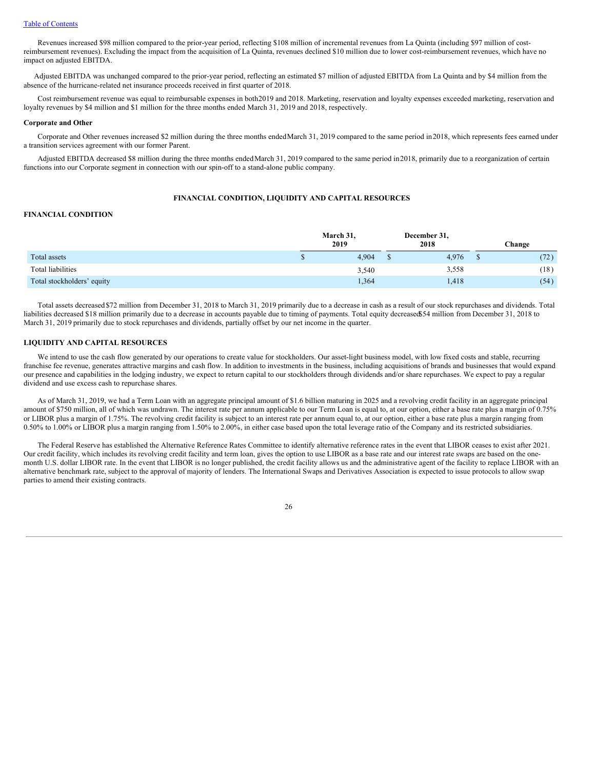Revenues increased \$98 million compared to the prior-year period, reflecting \$108 million of incremental revenues from La Quinta (including \$97 million of costreimbursement revenues). Excluding the impact from the acquisition of La Quinta, revenues declined \$10 million due to lower cost-reimbursement revenues, which have no impact on adjusted EBITDA.

Adjusted EBITDA was unchanged compared to the prior-year period, reflecting an estimated \$7 million of adjusted EBITDA from La Quinta and by \$4 million from the absence of the hurricane-related net insurance proceeds received in first quarter of 2018.

Cost reimbursement revenue was equal to reimbursable expenses in both2019 and 2018. Marketing, reservation and loyalty expenses exceeded marketing, reservation and loyalty revenues by \$4 million and \$1 million for the three months ended March 31, 2019 and 2018, respectively.

### **Corporate and Other**

Corporate and Other revenues increased \$2 million during the three months endedMarch 31, 2019 compared to the same period in2018, which represents fees earned under a transition services agreement with our former Parent.

Adjusted EBITDA decreased \$8 million during the three months endedMarch 31, 2019 compared to the same period in2018, primarily due to a reorganization of certain functions into our Corporate segment in connection with our spin-off to a stand-alone public company.

# **FINANCIAL CONDITION, LIQUIDITY AND CAPITAL RESOURCES**

# **FINANCIAL CONDITION**

|                            | March 31,<br>2019 | December 31,<br>2018 | Change |
|----------------------------|-------------------|----------------------|--------|
| Total assets               | 4,904             | 4,976                | (72)   |
| Total liabilities          | 3,540             | 3,558                | (18)   |
| Total stockholders' equity | 1,364             | 1,418                | (54)   |

Total assets decreased \$72 million from December 31, 2018 to March 31, 2019 primarily due to a decrease in cash as a result of our stock repurchases and dividends. Total liabilities decreased \$18 million primarily due to a decrease in accounts payable due to timing of payments. Total equity decreased\$54 million from December 31, 2018 to March 31, 2019 primarily due to stock repurchases and dividends, partially offset by our net income in the quarter.

## **LIQUIDITY AND CAPITAL RESOURCES**

We intend to use the cash flow generated by our operations to create value for stockholders. Our asset-light business model, with low fixed costs and stable, recurring franchise fee revenue, generates attractive margins and cash flow. In addition to investments in the business, including acquisitions of brands and businesses that would expand our presence and capabilities in the lodging industry, we expect to return capital to our stockholders through dividends and/or share repurchases. We expect to pay a regular dividend and use excess cash to repurchase shares.

As of March 31, 2019, we had a Term Loan with an aggregate principal amount of \$1.6 billion maturing in 2025 and a revolving credit facility in an aggregate principal amount of \$750 million, all of which was undrawn. The interest rate per annum applicable to our Term Loan is equal to, at our option, either a base rate plus a margin of 0.75% or LIBOR plus a margin of 1.75%. The revolving credit facility is subject to an interest rate per annum equal to, at our option, either a base rate plus a margin ranging from 0.50% to 1.00% or LIBOR plus a margin ranging from 1.50% to 2.00%, in either case based upon the total leverage ratio of the Company and its restricted subsidiaries.

The Federal Reserve has established the Alternative Reference Rates Committee to identify alternative reference rates in the event that LIBOR ceases to exist after 2021. Our credit facility, which includes its revolving credit facility and term loan, gives the option to use LIBOR as a base rate and our interest rate swaps are based on the onemonth U.S. dollar LIBOR rate. In the event that LIBOR is no longer published, the credit facility allows us and the administrative agent of the facility to replace LIBOR with an alternative benchmark rate, subject to the approval of majority of lenders. The International Swaps and Derivatives Association is expected to issue protocols to allow swap parties to amend their existing contracts.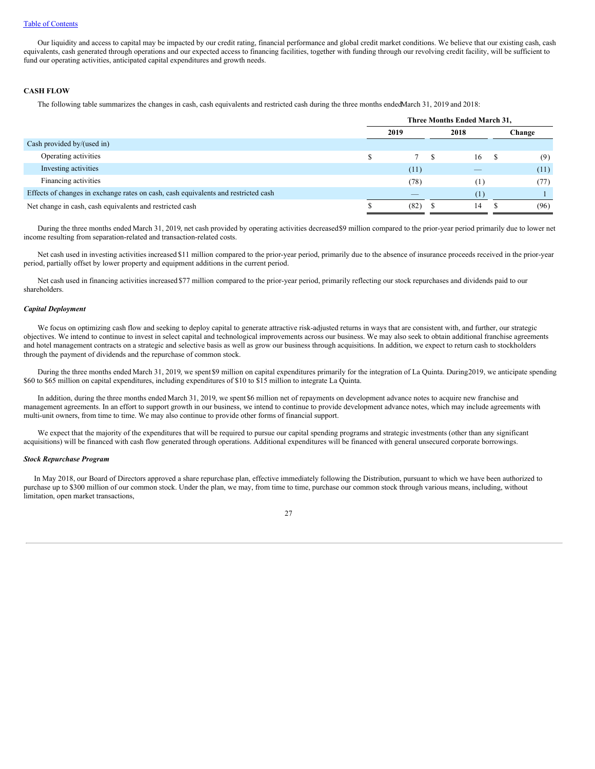Our liquidity and access to capital may be impacted by our credit rating, financial performance and global credit market conditions. We believe that our existing cash, cash equivalents, cash generated through operations and our expected access to financing facilities, together with funding through our revolving credit facility, will be sufficient to fund our operating activities, anticipated capital expenditures and growth needs.

# **CASH FLOW**

The following table summarizes the changes in cash, cash equivalents and restricted cash during the three months endedMarch 31, 2019 and 2018:

|                                                                                    | Three Months Ended March 31, |  |      |        |  |  |  |
|------------------------------------------------------------------------------------|------------------------------|--|------|--------|--|--|--|
|                                                                                    | 2019                         |  | 2018 | Change |  |  |  |
| Cash provided by/(used in)                                                         |                              |  |      |        |  |  |  |
| Operating activities                                                               |                              |  | 16   | (9)    |  |  |  |
| Investing activities                                                               | (11)                         |  |      | (11)   |  |  |  |
| Financing activities                                                               | (78)                         |  | (1)  | (77)   |  |  |  |
| Effects of changes in exchange rates on cash, cash equivalents and restricted cash |                              |  | (1)  |        |  |  |  |
| Net change in cash, cash equivalents and restricted cash                           | (82)                         |  | 14   | (96)   |  |  |  |

During the three months ended March 31, 2019, net cash provided by operating activities decreased\$9 million compared to the prior-year period primarily due to lower net income resulting from separation-related and transaction-related costs.

Net cash used in investing activities increased \$11 million compared to the prior-year period, primarily due to the absence of insurance proceeds received in the prior-year period, partially offset by lower property and equipment additions in the current period.

Net cash used in financing activities increased \$77 million compared to the prior-year period, primarily reflecting our stock repurchases and dividends paid to our shareholders.

### *Capital Deployment*

We focus on optimizing cash flow and seeking to deploy capital to generate attractive risk-adjusted returns in ways that are consistent with, and further, our strategic objectives. We intend to continue to invest in select capital and technological improvements across our business. We may also seek to obtain additional franchise agreements and hotel management contracts on a strategic and selective basis as well as grow our business through acquisitions. In addition, we expect to return cash to stockholders through the payment of dividends and the repurchase of common stock.

During the three months ended March 31, 2019, we spent \$9 million on capital expenditures primarily for the integration of La Quinta. During2019, we anticipate spending \$60 to \$65 million on capital expenditures, including expenditures of \$10 to \$15 million to integrate La Quinta.

In addition, during the three months ended March 31, 2019, we spent \$6 million net of repayments on development advance notes to acquire new franchise and management agreements. In an effort to support growth in our business, we intend to continue to provide development advance notes, which may include agreements with multi-unit owners, from time to time. We may also continue to provide other forms of financial support.

We expect that the majority of the expenditures that will be required to pursue our capital spending programs and strategic investments (other than any significant acquisitions) will be financed with cash flow generated through operations. Additional expenditures will be financed with general unsecured corporate borrowings.

### *Stock Repurchase Program*

In May 2018, our Board of Directors approved a share repurchase plan, effective immediately following the Distribution, pursuant to which we have been authorized to purchase up to \$300 million of our common stock. Under the plan, we may, from time to time, purchase our common stock through various means, including, without limitation, open market transactions,

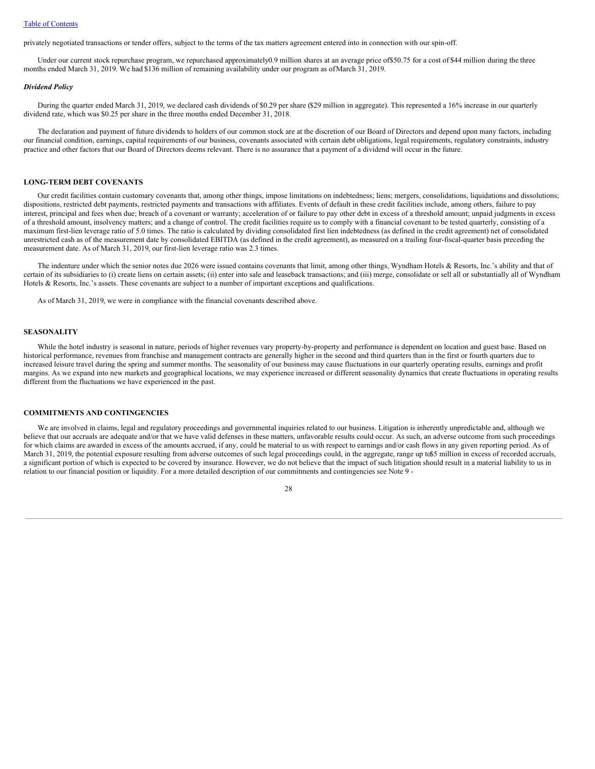privately negotiated transactions or tender offers, subject to the terms of the tax matters agreement entered into in connection with our spin-off.

Under our current stock repurchase program, we repurchased approximately0.9 million shares at an average price of\$50.75 for a cost of \$44 million during the three months ended March 31, 2019. We had \$136 million of remaining availability under our program as ofMarch 31, 2019.

### *Dividend Policy*

During the quarter ended March 31, 2019, we declared cash dividends of \$0.29 per share (\$29 million in aggregate). This represented a 16% increase in our quarterly dividend rate, which was \$0.25 per share in the three months ended December 31, 2018.

The declaration and payment of future dividends to holders of our common stock are at the discretion of our Board of Directors and depend upon many factors, including our financial condition, earnings, capital requirements of our business, covenants associated with certain debt obligations, legal requirements, regulatory constraints, industry practice and other factors that our Board of Directors deems relevant. There is no assurance that a payment of a dividend will occur in the future.

### **LONG-TERM DEBT COVENANTS**

Our credit facilities contain customary covenants that, among other things, impose limitations on indebtedness; liens; mergers, consolidations, liquidations and dissolutions; dispositions, restricted debt payments, restricted payments and transactions with affiliates. Events of default in these credit facilities include, among others, failure to pay interest, principal and fees when due; breach of a covenant or warranty; acceleration of or failure to pay other debt in excess of a threshold amount; unpaid judgments in excess of a threshold amount, insolvency matters; and a change of control. The credit facilities require us to comply with a financial covenant to be tested quarterly, consisting of a maximum first-lien leverage ratio of 5.0 times. The ratio is calculated by dividing consolidated first lien indebtedness (as defined in the credit agreement) net of consolidated unrestricted cash as of the measurement date by consolidated EBITDA (as defined in the credit agreement), as measured on a trailing four-fiscal-quarter basis preceding the measurement date. As of March 31, 2019, our first-lien leverage ratio was 2.3 times.

The indenture under which the senior notes due 2026 were issued contains covenants that limit, among other things, Wyndham Hotels & Resorts, Inc.'s ability and that of certain of its subsidiaries to (i) create liens on certain assets; (ii) enter into sale and leaseback transactions; and (iii) merge, consolidate or sell all or substantially all of Wyndham Hotels & Resorts, Inc.'s assets. These covenants are subject to a number of important exceptions and qualifications.

As of March 31, 2019, we were in compliance with the financial covenants described above.

### **SEASONALITY**

While the hotel industry is seasonal in nature, periods of higher revenues vary property-by-property and performance is dependent on location and guest base. Based on historical performance, revenues from franchise and management contracts are generally higher in the second and third quarters than in the first or fourth quarters due to increased leisure travel during the spring and summer months. The seasonality of our business may cause fluctuations in our quarterly operating results, earnings and profit margins. As we expand into new markets and geographical locations, we may experience increased or different seasonality dynamics that create fluctuations in operating results different from the fluctuations we have experienced in the past.

### **COMMITMENTS AND CONTINGENCIES**

We are involved in claims, legal and regulatory proceedings and governmental inquiries related to our business. Litigation is inherently unpredictable and, although we believe that our accruals are adequate and/or that we have valid defenses in these matters, unfavorable results could occur. As such, an adverse outcome from such proceedings for which claims are awarded in excess of the amounts accrued, if any, could be material to us with respect to earnings and/or cash flows in any given reporting period. As of March 31, 2019, the potential exposure resulting from adverse outcomes of such legal proceedings could, in the aggregate, range up to \$5 million in excess of recorded accruals, a significant portion of which is expected to be covered by insurance. However, we do not believe that the impact of such litigation should result in a material liability to us in relation to our financial position or liquidity. For a more detailed description of our commitments and contingencies see Note 9 -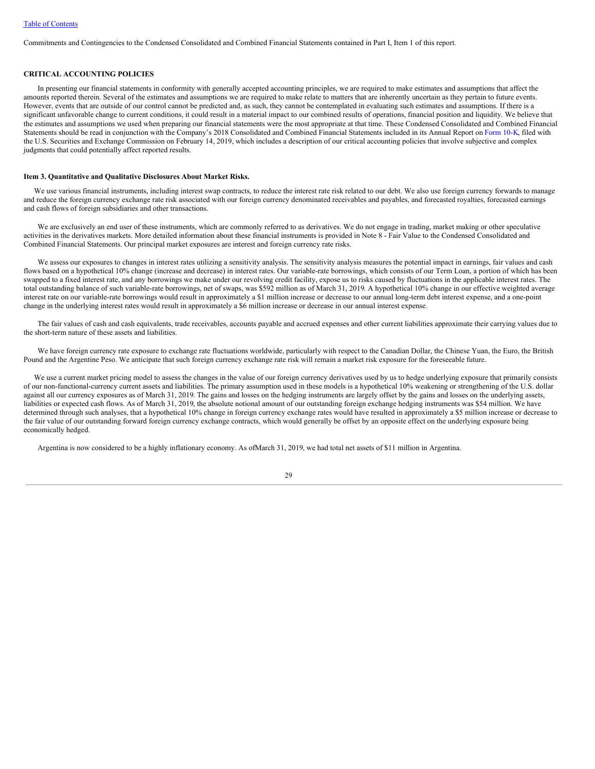Commitments and Contingencies to the Condensed Consolidated and Combined Financial Statements contained in Part I, Item 1 of this report.

### **CRITICAL ACCOUNTING POLICIES**

In presenting our financial statements in conformity with generally accepted accounting principles, we are required to make estimates and assumptions that affect the amounts reported therein. Several of the estimates and assumptions we are required to make relate to matters that are inherently uncertain as they pertain to future events. However, events that are outside of our control cannot be predicted and, as such, they cannot be contemplated in evaluating such estimates and assumptions. If there is a significant unfavorable change to current conditions, it could result in a material impact to our combined results of operations, financial position and liquidity. We believe that the estimates and assumptions we used when preparing our financial statements were the most appropriate at that time. These Condensed Consolidated and Combined Financial Statements should be read in conjunction with the Company's 2018 Consolidated and Combined Financial Statements included in its Annual Report on [Form](http://www.sec.gov/Archives/edgar/data/1722684/000172268419000008/wh-20181231x10k.htm) 10-K, filed with the U.S. Securities and Exchange Commission on February 14, 2019, which includes a description of our critical accounting policies that involve subjective and complex judgments that could potentially affect reported results.

### <span id="page-30-0"></span>**Item 3. Quantitative and Qualitative Disclosures About Market Risks.**

We use various financial instruments, including interest swap contracts, to reduce the interest rate risk related to our debt. We also use foreign currency forwards to manage and reduce the foreign currency exchange rate risk associated with our foreign currency denominated receivables and payables, and forecasted royalties, forecasted earnings and cash flows of foreign subsidiaries and other transactions.

We are exclusively an end user of these instruments, which are commonly referred to as derivatives. We do not engage in trading, market making or other speculative activities in the derivatives markets. More detailed information about these financial instruments is provided in Note 8 - Fair Value to the Condensed Consolidated and Combined Financial Statements. Our principal market exposures are interest and foreign currency rate risks.

We assess our exposures to changes in interest rates utilizing a sensitivity analysis. The sensitivity analysis measures the potential impact in earnings, fair values and cash flows based on a hypothetical 10% change (increase and decrease) in interest rates. Our variable-rate borrowings, which consists of our Term Loan, a portion of which has been swapped to a fixed interest rate, and any borrowings we make under our revolving credit facility, expose us to risks caused by fluctuations in the applicable interest rates. The total outstanding balance of such variable-rate borrowings, net of swaps, was \$592 million as of March 31, 2019. A hypothetical 10% change in our effective weighted average interest rate on our variable-rate borrowings would result in approximately a \$1 million increase or decrease to our annual long-term debt interest expense, and a one-point change in the underlying interest rates would result in approximately a \$6 million increase or decrease in our annual interest expense.

The fair values of cash and cash equivalents, trade receivables, accounts payable and accrued expenses and other current liabilities approximate their carrying values due to the short-term nature of these assets and liabilities.

We have foreign currency rate exposure to exchange rate fluctuations worldwide, particularly with respect to the Canadian Dollar, the Chinese Yuan, the Euro, the British Pound and the Argentine Peso. We anticipate that such foreign currency exchange rate risk will remain a market risk exposure for the foreseeable future.

We use a current market pricing model to assess the changes in the value of our foreign currency derivatives used by us to hedge underlying exposure that primarily consists of our non-functional-currency current assets and liabilities. The primary assumption used in these models is a hypothetical 10% weakening or strengthening of the U.S. dollar against all our currency exposures as of March 31, 2019. The gains and losses on the hedging instruments are largely offset by the gains and losses on the underlying assets, liabilities or expected cash flows. As of March 31, 2019, the absolute notional amount of our outstanding foreign exchange hedging instruments was \$54 million. We have determined through such analyses, that a hypothetical 10% change in foreign currency exchange rates would have resulted in approximately a \$5 million increase or decrease to the fair value of our outstanding forward foreign currency exchange contracts, which would generally be offset by an opposite effect on the underlying exposure being economically hedged.

Argentina is now considered to be a highly inflationary economy. As ofMarch 31, 2019, we had total net assets of \$11 million in Argentina.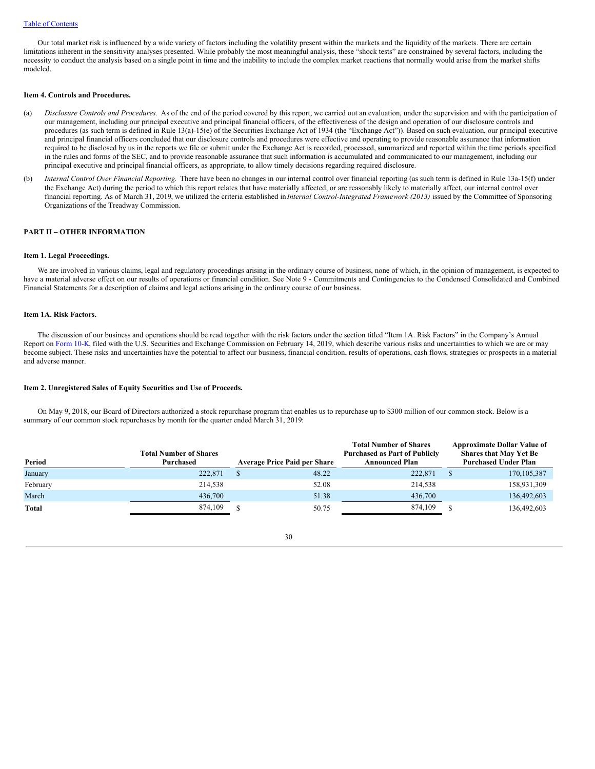Our total market risk is influenced by a wide variety of factors including the volatility present within the markets and the liquidity of the markets. There are certain limitations inherent in the sensitivity analyses presented. While probably the most meaningful analysis, these "shock tests" are constrained by several factors, including the necessity to conduct the analysis based on a single point in time and the inability to include the complex market reactions that normally would arise from the market shifts modeled.

### <span id="page-31-0"></span>**Item 4. Controls and Procedures.**

- (a) *Disclosure Controls and Procedures*. As of the end of the period covered by this report, we carried out an evaluation, under the supervision and with the participation of our management, including our principal executive and principal financial officers, of the effectiveness of the design and operation of our disclosure controls and procedures (as such term is defined in Rule 13(a)-15(e) of the Securities Exchange Act of 1934 (the "Exchange Act")). Based on such evaluation, our principal executive and principal financial officers concluded that our disclosure controls and procedures were effective and operating to provide reasonable assurance that information required to be disclosed by us in the reports we file or submit under the Exchange Act is recorded, processed, summarized and reported within the time periods specified in the rules and forms of the SEC, and to provide reasonable assurance that such information is accumulated and communicated to our management, including our principal executive and principal financial officers, as appropriate, to allow timely decisions regarding required disclosure.
- (b) *Internal Control Over Financial Reporting.* There have been no changes in our internal control over financial reporting (as such term is defined in Rule 13a-15(f) under the Exchange Act) during the period to which this report relates that have materially affected, or are reasonably likely to materially affect, our internal control over financial reporting. As of March 31, 2019, we utilized the criteria established in *Internal Control-Integrated Framework (2013)* issued by the Committee of Sponsoring Organizations of the Treadway Commission.

### <span id="page-31-1"></span>**PART II – OTHER INFORMATION**

### **Item 1. Legal Proceedings.**

We are involved in various claims, legal and regulatory proceedings arising in the ordinary course of business, none of which, in the opinion of management, is expected to have a material adverse effect on our results of operations or financial condition. See Note 9 - Commitments and Contingencies to the Condensed Consolidated and Combined Financial Statements for a description of claims and legal actions arising in the ordinary course of our business.

### <span id="page-31-2"></span>**Item 1A. Risk Factors.**

The discussion of our business and operations should be read together with the risk factors under the section titled "Item 1A. Risk Factors" in the Company's Annual Report on [Form](http://www.sec.gov/Archives/edgar/data/1722684/000172268419000008/wh-20181231x10k.htm) 10-K, filed with the U.S. Securities and Exchange Commission on February 14, 2019, which describe various risks and uncertainties to which we are or may become subject. These risks and uncertainties have the potential to affect our business, financial condition, results of operations, cash flows, strategies or prospects in a material and adverse manner.

### <span id="page-31-3"></span>**Item 2. Unregistered Sales of Equity Securities and Use of Proceeds.**

On May 9, 2018, our Board of Directors authorized a stock repurchase program that enables us to repurchase up to \$300 million of our common stock. Below is a summary of our common stock repurchases by month for the quarter ended March 31, 2019:

| Period   | <b>Total Number of Shares</b><br>Purchased | <b>Average Price Paid per Share</b> | <b>Total Number of Shares</b><br><b>Purchased as Part of Publicly</b><br><b>Announced Plan</b> | <b>Approximate Dollar Value of</b><br><b>Shares that May Yet Be</b><br><b>Purchased Under Plan</b> |
|----------|--------------------------------------------|-------------------------------------|------------------------------------------------------------------------------------------------|----------------------------------------------------------------------------------------------------|
| January  | 222,871                                    | 48.22                               | 222,871                                                                                        | 170, 105, 387                                                                                      |
| February | 214.538                                    | 52.08                               | 214.538                                                                                        | 158,931,309                                                                                        |
| March    | 436,700                                    | 51.38                               | 436,700                                                                                        | 136,492,603                                                                                        |
| Total    | 874,109                                    | 50.75                               | 874.109                                                                                        | 136,492,603                                                                                        |

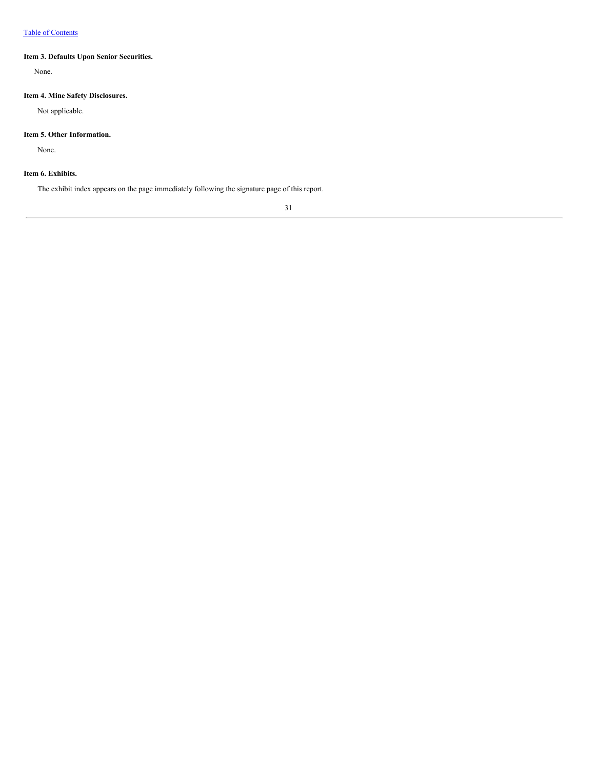# <span id="page-32-0"></span>**Item 3. Defaults Upon Senior Securities.**

<span id="page-32-1"></span>None.

# **Item 4. Mine Safety Disclosures.**

Not applicable.

# <span id="page-32-2"></span>**Item 5. Other Information.**

None.

# <span id="page-32-3"></span>**Item 6. Exhibits.**

The exhibit index appears on the page immediately following the signature page of this report.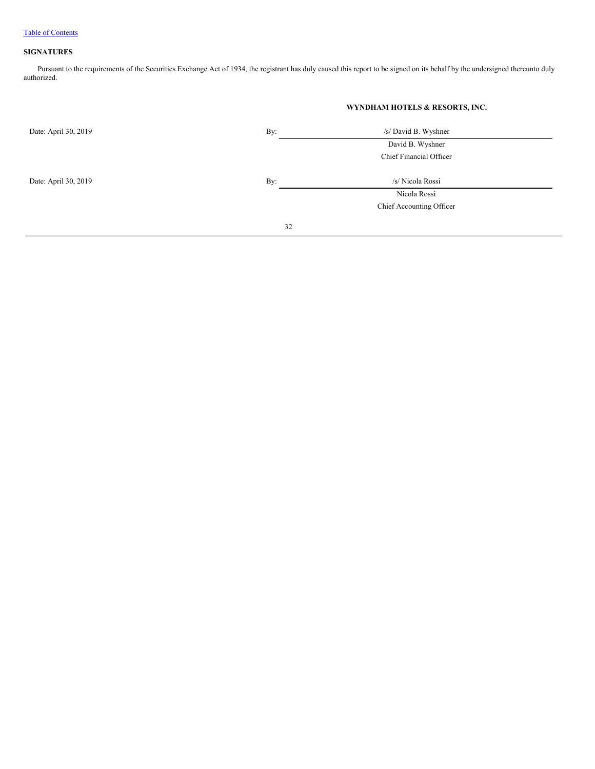# <span id="page-33-0"></span>**SIGNATURES**

Pursuant to the requirements of the Securities Exchange Act of 1934, the registrant has duly caused this report to be signed on its behalf by the undersigned thereunto duly authorized.

|                      |     | WYNDHAM HOTELS & RESORTS, INC. |  |
|----------------------|-----|--------------------------------|--|
| Date: April 30, 2019 | By: | /s/ David B. Wyshner           |  |
|                      |     | David B. Wyshner               |  |
|                      |     | Chief Financial Officer        |  |
| Date: April 30, 2019 | By: | /s/ Nicola Rossi               |  |
|                      |     | Nicola Rossi                   |  |
|                      |     | Chief Accounting Officer       |  |
|                      | 32  |                                |  |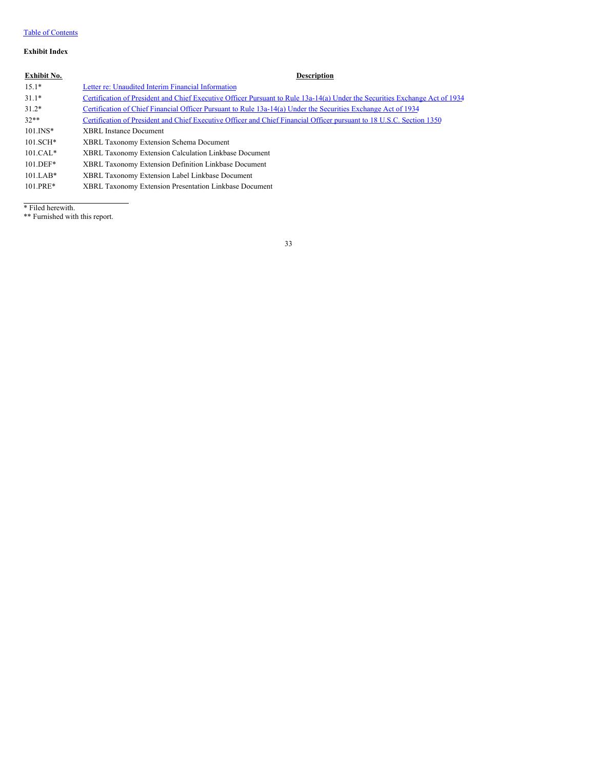# Table of [Contents](#page-1-0)

# **Exhibit Index**

# **Exhibit No. Description**

| $15.1*$     | Letter re: Unaudited Interim Financial Information                                                                          |
|-------------|-----------------------------------------------------------------------------------------------------------------------------|
| $31.1*$     | Certification of President and Chief Executive Officer Pursuant to Rule 13a-14(a) Under the Securities Exchange Act of 1934 |
| $31.2*$     | Certification of Chief Financial Officer Pursuant to Rule 13a-14(a) Under the Securities Exchange Act of 1934               |
| $32**$      | Certification of President and Chief Executive Officer and Chief Financial Officer pursuant to 18 U.S.C. Section 1350       |
| $101.$ INS* | <b>XBRL</b> Instance Document                                                                                               |
| $101.SCH*$  | <b>XBRL Taxonomy Extension Schema Document</b>                                                                              |
| $101.CAL*$  | XBRL Taxonomy Extension Calculation Linkbase Document                                                                       |
| $101.$ DEF* | XBRL Taxonomy Extension Definition Linkbase Document                                                                        |
| $101.LAB*$  | XBRL Taxonomy Extension Label Linkbase Document                                                                             |
| $101.PRE*$  | XBRL Taxonomy Extension Presentation Linkbase Document                                                                      |

\* Filed herewith.

\*\* Furnished with this report.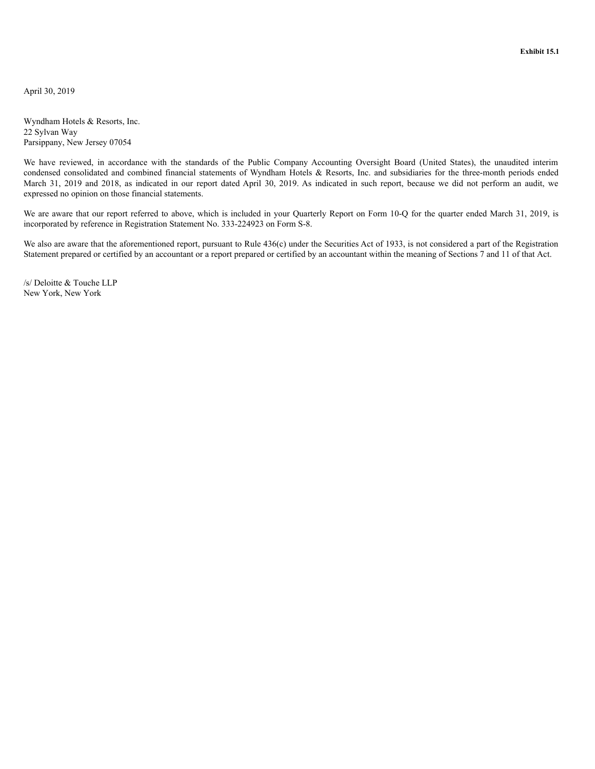<span id="page-35-0"></span>April 30, 2019

Wyndham Hotels & Resorts, Inc. 22 Sylvan Way Parsippany, New Jersey 07054

We have reviewed, in accordance with the standards of the Public Company Accounting Oversight Board (United States), the unaudited interim condensed consolidated and combined financial statements of Wyndham Hotels & Resorts, Inc. and subsidiaries for the three-month periods ended March 31, 2019 and 2018, as indicated in our report dated April 30, 2019. As indicated in such report, because we did not perform an audit, we expressed no opinion on those financial statements.

We are aware that our report referred to above, which is included in your Quarterly Report on Form 10-Q for the quarter ended March 31, 2019, is incorporated by reference in Registration Statement No. 333-224923 on Form S-8.

We also are aware that the aforementioned report, pursuant to Rule 436(c) under the Securities Act of 1933, is not considered a part of the Registration Statement prepared or certified by an accountant or a report prepared or certified by an accountant within the meaning of Sections 7 and 11 of that Act.

/s/ Deloitte & Touche LLP New York, New York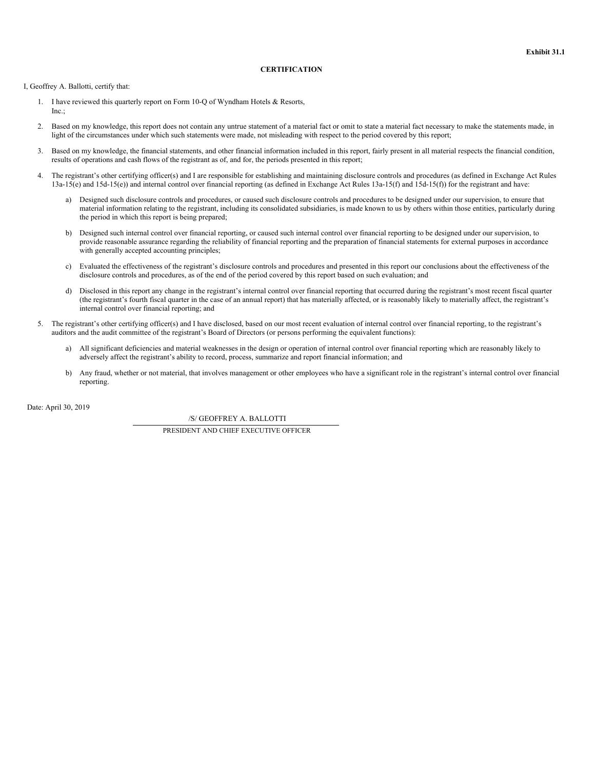# **CERTIFICATION**

<span id="page-36-0"></span>I, Geoffrey A. Ballotti, certify that:

- 1. I have reviewed this quarterly report on Form 10-Q of Wyndham Hotels & Resorts, Inc.;
- 2. Based on my knowledge, this report does not contain any untrue statement of a material fact or omit to state a material fact necessary to make the statements made, in light of the circumstances under which such statements were made, not misleading with respect to the period covered by this report;
- 3. Based on my knowledge, the financial statements, and other financial information included in this report, fairly present in all material respects the financial condition, results of operations and cash flows of the registrant as of, and for, the periods presented in this report;
- 4. The registrant's other certifying officer(s) and I are responsible for establishing and maintaining disclosure controls and procedures (as defined in Exchange Act Rules  $13a-15(e)$  and  $15d-15(e)$ ) and internal control over financial reporting (as defined in Exchange Act Rules  $13a-15(f)$  and  $15d-15(f)$ ) for the registrant and have:
	- a) Designed such disclosure controls and procedures, or caused such disclosure controls and procedures to be designed under our supervision, to ensure that material information relating to the registrant, including its consolidated subsidiaries, is made known to us by others within those entities, particularly during the period in which this report is being prepared;
	- b) Designed such internal control over financial reporting, or caused such internal control over financial reporting to be designed under our supervision, to provide reasonable assurance regarding the reliability of financial reporting and the preparation of financial statements for external purposes in accordance with generally accepted accounting principles;
	- c) Evaluated the effectiveness of the registrant's disclosure controls and procedures and presented in this report our conclusions about the effectiveness of the disclosure controls and procedures, as of the end of the period covered by this report based on such evaluation; and
	- d) Disclosed in this report any change in the registrant's internal control over financial reporting that occurred during the registrant's most recent fiscal quarter (the registrant's fourth fiscal quarter in the case of an annual report) that has materially affected, or is reasonably likely to materially affect, the registrant's internal control over financial reporting; and
- 5. The registrant's other certifying officer(s) and I have disclosed, based on our most recent evaluation of internal control over financial reporting, to the registrant's auditors and the audit committee of the registrant's Board of Directors (or persons performing the equivalent functions):
	- a) All significant deficiencies and material weaknesses in the design or operation of internal control over financial reporting which are reasonably likely to adversely affect the registrant's ability to record, process, summarize and report financial information; and
	- b) Any fraud, whether or not material, that involves management or other employees who have a significant role in the registrant's internal control over financial reporting.

Date: April 30, 2019

/S/ GEOFFREY A. BALLOTTI

PRESIDENT AND CHIEF EXECUTIVE OFFICER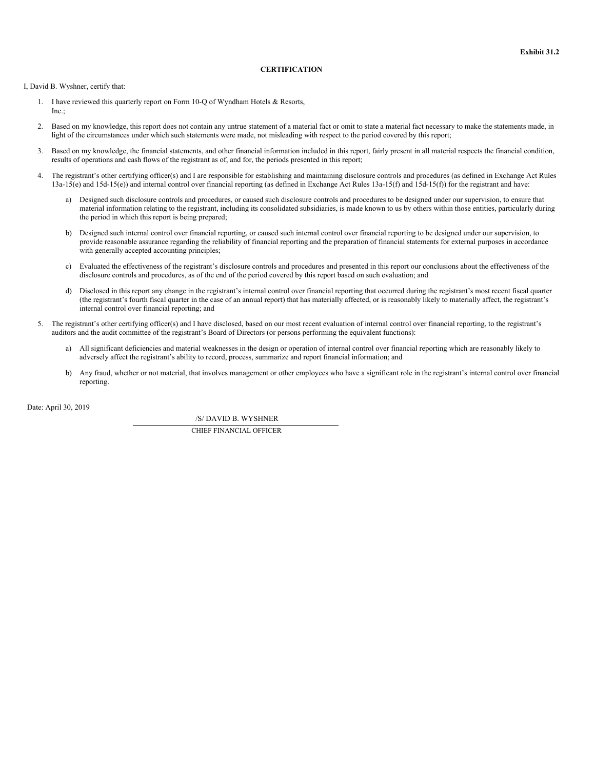# **CERTIFICATION**

<span id="page-37-0"></span>I, David B. Wyshner, certify that:

- 1. I have reviewed this quarterly report on Form 10-Q of Wyndham Hotels & Resorts, Inc.;
- 2. Based on my knowledge, this report does not contain any untrue statement of a material fact or omit to state a material fact necessary to make the statements made, in light of the circumstances under which such statements were made, not misleading with respect to the period covered by this report;
- 3. Based on my knowledge, the financial statements, and other financial information included in this report, fairly present in all material respects the financial condition, results of operations and cash flows of the registrant as of, and for, the periods presented in this report;
- 4. The registrant's other certifying officer(s) and I are responsible for establishing and maintaining disclosure controls and procedures (as defined in Exchange Act Rules  $13a-15(e)$  and  $15d-15(e)$ ) and internal control over financial reporting (as defined in Exchange Act Rules  $13a-15(f)$  and  $15d-15(f)$ ) for the registrant and have:
	- a) Designed such disclosure controls and procedures, or caused such disclosure controls and procedures to be designed under our supervision, to ensure that material information relating to the registrant, including its consolidated subsidiaries, is made known to us by others within those entities, particularly during the period in which this report is being prepared;
	- b) Designed such internal control over financial reporting, or caused such internal control over financial reporting to be designed under our supervision, to provide reasonable assurance regarding the reliability of financial reporting and the preparation of financial statements for external purposes in accordance with generally accepted accounting principles;
	- c) Evaluated the effectiveness of the registrant's disclosure controls and procedures and presented in this report our conclusions about the effectiveness of the disclosure controls and procedures, as of the end of the period covered by this report based on such evaluation; and
	- d) Disclosed in this report any change in the registrant's internal control over financial reporting that occurred during the registrant's most recent fiscal quarter (the registrant's fourth fiscal quarter in the case of an annual report) that has materially affected, or is reasonably likely to materially affect, the registrant's internal control over financial reporting; and
- 5. The registrant's other certifying officer(s) and I have disclosed, based on our most recent evaluation of internal control over financial reporting, to the registrant's auditors and the audit committee of the registrant's Board of Directors (or persons performing the equivalent functions):
	- a) All significant deficiencies and material weaknesses in the design or operation of internal control over financial reporting which are reasonably likely to adversely affect the registrant's ability to record, process, summarize and report financial information; and
	- b) Any fraud, whether or not material, that involves management or other employees who have a significant role in the registrant's internal control over financial reporting.

Date: April 30, 2019

/S/ DAVID B. WYSHNER

CHIEF FINANCIAL OFFICER